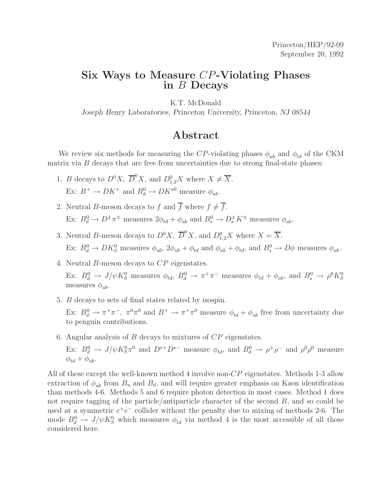### **Six Ways to Measure** CP**-Violating Phases in** B **Decays**

K.T. McDonald

*Joseph Henry Laboratories, Princeton University, Princeton, NJ 08544*

### **Abstract**

We review six methods for measuring the CP-violating phases  $\phi_{ub}$  and  $\phi_{td}$  of the CKM matrix via  $B$  decays that are free from uncertainties due to strong final-state phases:

- 1. *B* decays to  $D^0X$ ,  $\overline{D}^0X$ , and  $D_{1,2}^0X$  where  $X \neq \overline{X}$ . Ex:  $B^+ \to D K^+$  and  $B_d^0 \to D K^{\star 0}$  measure  $\phi_{ub}$ .
- 2. Neutral B-meson decays to f and  $\overline{f}$  where  $f \neq \overline{f}$ . Ex:  $B_d^0 \to D^{\pm} \pi^{\mp}$  measures  $2\phi_{td} + \phi_{ub}$  and  $B_s^0 \to D_s^{\pm} K^{\mp}$  measures  $\phi_{ub}$ .
- 3. Neutral B-meson decays to  $D^0X$ ,  $\overline{D}^0X$ , and  $D_{1,2}^0X$  where  $X = \overline{X}$ . Ex:  $B_d^0 \to D K_S^0$  measures  $\phi_{ub}$ ,  $2\phi_{ub} + \phi_{td}$  and  $\phi_{ub} + \phi_{td}$ , and  $B_s^0 \to D\phi$  measures  $\phi_{ub}$ .
- 4. Neutral B-meson decays to CP eigenstates. Ex:  $B_d^0 \to J/\psi K_S^0$  measures  $\phi_{td}$ ,  $B_d^0 \to \pi^+\pi^-$  measures  $\phi_{td} + \phi_{ub}$ , and  $B_s^0 \to \rho^0 K_S^0$ measures  $\phi_{ab}$ .
- 5. B decays to sets of final states related by isospin. Ex:  $B_d^0 \to \pi^+\pi^-$ ,  $\pi^0\pi^0$  and  $B^+ \to \pi^+\pi^0$  measure  $\phi_{td} + \phi_{ub}$  free from uncertainty due to penguin contributions.
- 6. Angular analysis of B decays to mixtures of CP eigenstates.

Ex:  $B_d^0 \to J/\psi K_S^0 \pi^0$  and  $D^{*+}D^{*-}$  measure  $\phi_{td}$ , and  $B_d^0 \to \rho^+\rho^-$  and  $\rho^0\rho^0$  measure  $\phi_{td} + \phi_{ub}.$ 

All of these except the well-known method 4 involve non-CP eigenstates. Methods 1-3 allow extraction of  $\phi_{ub}$  from  $B_u$  and  $B_d$ , and will require greater emphasis on Kaon identification than methods 4-6. Methods 5 and 6 require photon detection in most cases. Method 1 does not require tagging of the particle/antiparticle character of the second B, and so could be used at a symmetric  $e^+e^-$  collider without the penalty due to mixing of methods 2-6. The mode  $B_d^0 \to J/\psi K_S^0$  which measures  $\phi_{td}$  via method 4 is the most accessible of all those considered here.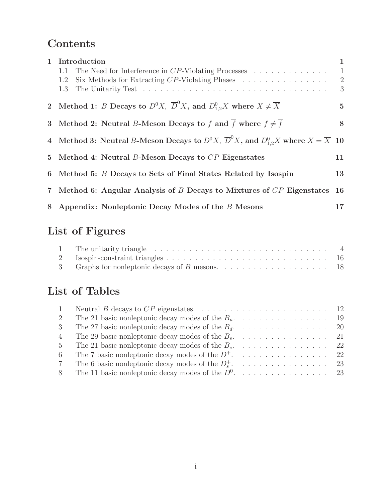# **Contents**

| 1 Introduction<br>The Need for Interference in $CP$ -Violating Processes<br>1.1<br>Six Methods for Extracting $CP$ -Violating Phases $\ldots \ldots \ldots \ldots \ldots$<br>1.2<br>1.3 | 1<br>$\mathbf{1}$<br>$\overline{2}$<br>3 |
|-----------------------------------------------------------------------------------------------------------------------------------------------------------------------------------------|------------------------------------------|
| 2 Method 1: B Decays to $D^0X$ , $\overline{D}^0X$ , and $D_{1,2}^0X$ where $X \neq \overline{X}$                                                                                       | $5\overline{)}$                          |
| 3 Method 2: Neutral B-Meson Decays to f and $\overline{f}$ where $f \neq \overline{f}$                                                                                                  | 8                                        |
| 4 Method 3: Neutral B-Meson Decays to $D^0X$ , $\overline{D}^0X$ , and $D_{1,2}^0X$ where $X = \overline{X}$ 10                                                                         |                                          |
| 5 Method 4: Neutral B-Meson Decays to CP Eigenstates                                                                                                                                    | 11                                       |
| 6 Method 5: B Decays to Sets of Final States Related by Isospin                                                                                                                         | 13                                       |
| 7 Method 6: Angular Analysis of B Decays to Mixtures of CP Eigenstates                                                                                                                  | 16                                       |
| 8 Appendix: Nonleptonic Decay Modes of the B Mesons                                                                                                                                     | $17\,$                                   |

# **List of Figures**

| 3 Graphs for nonleptonic decays of B mesons. $\ldots \ldots \ldots \ldots \ldots \ldots \ldots$ 18 |  |
|----------------------------------------------------------------------------------------------------|--|

# **List of Tables**

| 1              |                                                        |  |
|----------------|--------------------------------------------------------|--|
| 2              | The 21 basic nonleptonic decay modes of the $B_u$ . 19 |  |
| 3              | The 27 basic nonleptonic decay modes of the $B_d$ . 20 |  |
| $\overline{4}$ |                                                        |  |
| 5 <sup>5</sup> |                                                        |  |
| 6              | The 7 basic nonleptonic decay modes of the $D^+$ .  22 |  |
| $7\degree$     |                                                        |  |
| 8              | The 11 basic nonleptonic decay modes of the $D^0$ . 23 |  |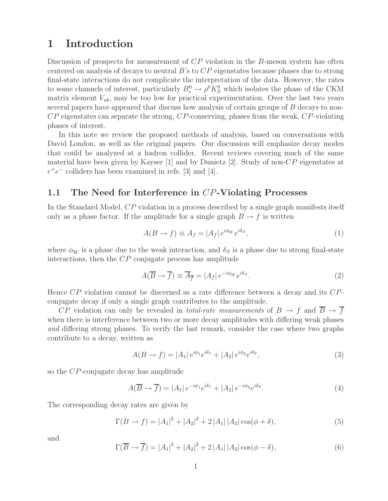### **1 Introduction**

Discussion of prospects for measurement of CP violation in the B-meson system has often centered on analysis of decays to neutral  $B$ 's to  $CP$  eigenstates because phases due to strong final-state interactions do not complicate the interpretation of the data. However, the rates to some channels of interest, particularly  $B_s^0 \to \rho^0 K_S^0$  which isolates the phase of the CKM matrix element  $V_{ub}$ , may be too low for practical experimentation. Over the last two years several papers have appeared that discuss how analysis of certain groups of B decays to non-CP eigenstates can separate the strong, CP-conserving, phases from the weak, CP-violating phases of interest.

In this note we review the proposed methods of analysis, based on conversations with David London, as well as the original papers. Our discussion will emphasize decay modes that could be analyzed at a hadron collider. Recent reviews covering much of the same material have been given by Kayser  $[1]$  and by Dunietz  $[2]$ . Study of non-CP eigenstates at  $e^+e^-$  colliders has been examined in refs. [3] and [4].

#### **1.1 The Need for Interference in** CP**-Violating Processes**

In the Standard Model, CP violation in a process described by a single graph manifests itself only as a phase factor. If the amplitude for a single graph  $B \to f$  is written

$$
A(B \to f) \equiv A_f = |A_f| e^{i\phi_W} e^{i\delta_S}, \tag{1}
$$

where  $\phi_W$  is a phase due to the weak interaction, and  $\delta_S$  is a phase due to strong final-state interactions, then the CP conjugate process has amplitude

$$
A(\overline{B} \to \overline{f}) \equiv \overline{A}_{\overline{f}} = |A_f| e^{-i\phi_W} e^{i\delta_S}.
$$
 (2)

Hence CP violation cannot be discerned as a rate difference between a decay and its CPconjugate decay if only a single graph contributes to the amplitude.

CP violation can only be revealed in *total-rate measurements* of  $B \to f$  and  $\overline{B} \to \overline{f}$ when there is interference between two or more decay amplitudes with differing weak phases and differing strong phases. To verify the last remark, consider the case where two graphs contribute to a decay, written as

$$
A(B \to f) = |A_1| e^{i\phi_1} e^{i\delta_1} + |A_2| e^{i\phi_2} e^{i\delta_2}, \tag{3}
$$

so the CP-conjugate decay has amplitude

$$
A(\overline{B} \to \overline{f}) = |A_1| e^{-i\phi_1} e^{i\delta_1} + |A_2| e^{-i\phi_2} e^{i\delta_2}.
$$
\n(4)

The corresponding decay rates are given by

$$
\Gamma(B \to f) = |A_1|^2 + |A_2|^2 + 2|A_1| |A_2| \cos(\phi + \delta), \tag{5}
$$

and

$$
\Gamma(\overline{B} \to \overline{f}) = |A_1|^2 + |A_2|^2 + 2|A_1||A_2|\cos(\phi - \delta), \tag{6}
$$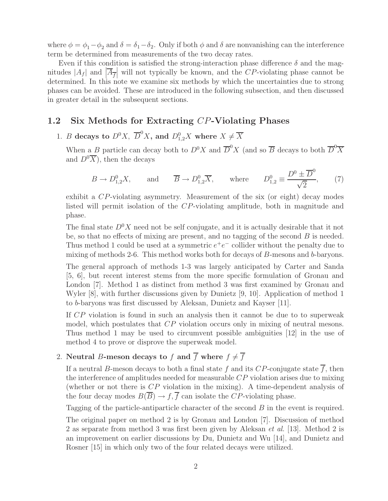where  $\phi = \phi_1 - \phi_2$  and  $\delta = \delta_1 - \delta_2$ . Only if both  $\phi$  and  $\delta$  are nonvanishing can the interference term be determined from measurements of the two decay rates.

Even if this condition is satisfied the strong-interaction phase difference  $\delta$  and the magnitudes  $|A_f|$  and  $|\overline{A}_{\overline{f}}|$  will not typically be known, and the CP-violating phase cannot be determined. In this note we examine six methods by which the uncertainties due to strong phases can be avoided. These are introduced in the following subsection, and then discussed in greater detail in the subsequent sections.

#### **1.2 Six Methods for Extracting** CP**-Violating Phases**

1. *B* decays to  $D^0X$ ,  $\overline{D}^0X$ , and  $D^0_{1,2}X$  where  $X \neq \overline{X}$ 

When a B particle can decay both to  $D^0 X$  and  $\overline{D}^0 X$  (and so  $\overline{B}$  decays to both  $\overline{D}^0 \overline{X}$ and  $D^0\overline{X}$ , then the decays

$$
B \to D_{1,2}^0 X, \quad \text{and} \quad \overline{B} \to D_{1,2}^0 \overline{X}, \quad \text{where} \quad D_{1,2}^0 \equiv \frac{D^0 \pm \overline{D}^0}{\sqrt{2}}, \quad (7)
$$

exhibit a CP-violating asymmetry. Measurement of the six (or eight) decay modes listed will permit isolation of the CP-violating amplitude, both in magnitude and phase.

The final state  $D^{0}X$  need not be self conjugate, and it is actually desirable that it not be, so that no effects of mixing are present, and no tagging of the second  $B$  is needed. Thus method 1 could be used at a symmetric  $e^+e^-$  collider without the penalty due to mixing of methods 2-6. This method works both for decays of B-mesons and b-baryons.

The general approach of methods 1-3 was largely anticipated by Carter and Sanda [5, 6], but recent interest stems from the more specific formulation of Gronau and London [7]. Method 1 as distinct from method 3 was first examined by Gronau and Wyler [8], with further discussions given by Dunietz [9, 10]. Application of method 1 to b-baryons was first discussed by Aleksan, Dunietz and Kayser [11].

If CP violation is found in such an analysis then it cannot be due to to superweak model, which postulates that CP violation occurs only in mixing of neutral mesons. Thus method 1 may be used to circumvent possible ambiguities [12] in the use of method 4 to prove or disprove the superweak model.

## 2. Neutral B-meson decays to f and  $\overline{f}$  where  $f \neq \overline{f}$

If a neutral B-meson decays to both a final state f and its CP-conjugate state  $\overline{f}$ , then the interference of amplitudes needed for measurable CP violation arises due to mixing (whether or not there is  $CP$  violation in the mixing). A time-dependent analysis of the four decay modes  $B(\overline{B}) \to f, \overline{f}$  can isolate the CP-violating phase.

Tagging of the particle-antiparticle character of the second B in the event is required.

The original paper on method 2 is by Gronau and London [7]. Discussion of method 2 as separate from method 3 was first been given by Aleksan *et al.* [13]. Method 2 is an improvement on earlier discussions by Du, Dunietz and Wu [14], and Dunietz and Rosner [15] in which only two of the four related decays were utilized.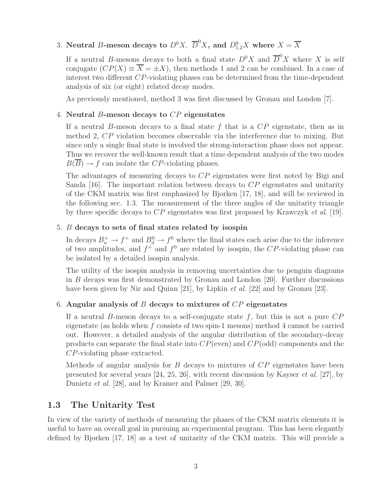## 3. Neutral *B*-meson decays to  $D^0X$ ,  $\overline{D}^0X$ , and  $D^0_{1,2}X$  where  $X = \overline{X}$

If a neutral B-mesons decays to both a final state  $D^0 X$  and  $\overline{D}^0 X$  where X is self conjugate  $(CP(X) \equiv \overline{X} = \pm X)$ , then methods 1 and 2 can be combined. In a case of interest two different CP-violating phases can be determined from the time-dependent analysis of six (or eight) related decay modes.

As previously mentioned, method 3 was first discussed by Gronau and London [7].

#### 4. **Neutral** B**-meson decays to** CP **eigenstates**

If a neutral B-meson decays to a final state f that is a  $CP$  eigenstate, then as in method 2, CP violation becomes observable via the interference due to mixing. But since only a single final state is involved the strong-interaction phase does not appear. Thus we recover the well-known result that a time dependent analysis of the two modes  $B(\overline{B}) \to f$  can isolate the CP-violating phases.

The advantages of measuring decays to CP eigenstates were first noted by Bigi and Sanda [16]. The important relation between decays to  $\mathbb{CP}$  eigenstates and unitarity of the CKM matrix was first emphasized by Bjorken [17, 18], and will be reviewed in the following sec. 1.3. The measurement of the three angles of the unitarity triangle by three specific decays to  $CP$  eigenstates was first proposed by Krawczyk *et al.* [19].

#### 5. B **decays to sets of final states related by isospin**

In decays  $B_u^+ \to f^+$  and  $B_d^0 \to f^0$  where the final states each arise due to the inference of two amplitudes, and  $f^+$  and  $f^0$  are related by isospin, the CP-violating phase can be isolated by a detailed isospin analysis.

The utility of the isospin analysis in removing uncertainties due to penguin diagrams in B decays was first demonstrated by Gronau and London [20]. Further discussions have been given by Nir and Quinn [21], by Lipkin *et al.* [22] and by Gronau [23].

#### 6. **Angular analysis of** B **decays to mixtures of** CP **eigenstates**

If a neutral B-meson decays to a self-conjugate state  $f$ , but this is not a pure  $CP$ eigenstate (as holds when  $f$  consists of two spin-1 mesons) method 4 cannot be carried out. However, a detailed analysis of the angular distribution of the secondary-decay products can separate the final state into  $CP$ (even) and  $CP$ (odd) components and the CP-violating phase extracted.

Methods of angular analysis for  $B$  decays to mixtures of  $\overline{CP}$  eigenstates have been presented for several years  $[24, 25, 26]$ , with recent discussion by Kayser *et al.* [27], by Dunietz *et al.* [28], and by Kramer and Palmer [29, 30].

### **1.3 The Unitarity Test**

In view of the variety of methods of measuring the phases of the CKM matrix elements it is useful to have an overall goal in pursuing an experimental program. This has been elegantly defined by Bjorken [17, 18] as a test of unitarity of the CKM matrix. This will provide a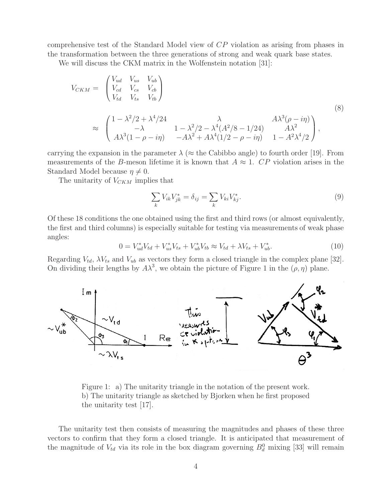comprehensive test of the Standard Model view of CP violation as arising from phases in the transformation between the three generations of strong and weak quark base states.

We will discuss the CKM matrix in the Wolfenstein notation [31]:

$$
V_{CKM} = \begin{pmatrix} V_{ud} & V_{us} & V_{ub} \\ V_{cd} & V_{cs} & V_{cb} \\ V_{td} & V_{ts} & V_{tb} \end{pmatrix}
$$
  
\n
$$
\approx \begin{pmatrix} 1 - \lambda^2/2 + \lambda^4/24 & \lambda & A\lambda^3(\rho - i\eta) \\ -\lambda & 1 - \lambda^2/2 - \lambda^4(A^2/8 - 1/24) & A\lambda^2 \\ A\lambda^3(1 - \rho - i\eta) & -A\lambda^2 + A\lambda^4(1/2 - \rho - i\eta) & 1 - A^2\lambda^4/2 \end{pmatrix},
$$
\n(8)

carrying the expansion in the parameter  $\lambda$  ( $\approx$  the Cabibbo angle) to fourth order [19]. From measurements of the B-meson lifetime it is known that  $A \approx 1$ . CP violation arises in the Standard Model because  $\eta \neq 0$ .

The unitarity of  $V_{CKM}$  implies that

$$
\sum_{k} V_{ik} V_{jk}^* = \delta_{ij} = \sum_{k} V_{ki} V_{kj}^*.
$$
 (9)

Of these 18 conditions the one obtained using the first and third rows (or almost equivalently, the first and third columns) is especially suitable for testing via measurements of weak phase angles:

$$
0 = V_{ud}^* V_{td} + V_{us}^* V_{ts} + V_{ub}^* V_{tb} \approx V_{td} + \lambda V_{ts} + V_{ub}^*.
$$
\n(10)

Regarding  $V_{td}$ ,  $\lambda V_{ts}$  and  $V_{ub}$  as vectors they form a closed triangle in the complex plane [32]. On dividing their lengths by  $A\lambda^3$ , we obtain the picture of Figure 1 in the  $(\rho, \eta)$  plane.



Figure 1: a) The unitarity triangle in the notation of the present work. b) The unitarity triangle as sketched by Bjorken when he first proposed the unitarity test [17].

The unitarity test then consists of measuring the magnitudes and phases of these three vectors to confirm that they form a closed triangle. It is anticipated that measurement of the magnitude of  $V_{td}$  via its role in the box diagram governing  $B_d^0$  mixing [33] will remain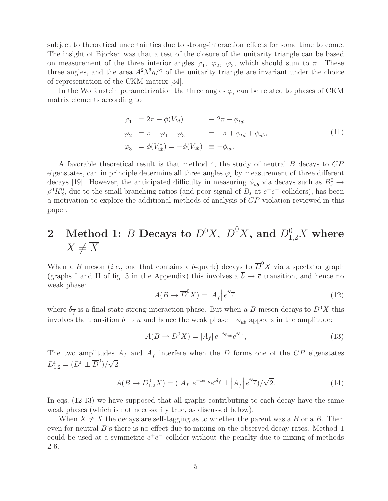subject to theoretical uncertainties due to strong-interaction effects for some time to come. The insight of Bjorken was that a test of the closure of the unitarity triangle can be based on measurement of the three interior angles  $\varphi_1$ ,  $\varphi_2$ ,  $\varphi_3$ , which should sum to  $\pi$ . These three angles, and the area  $A^2 \lambda^6 \eta/2$  of the unitarity triangle are invariant under the choice of representation of the CKM matrix [34].

In the Wolfenstein parametrization the three angles  $\varphi_i$  can be related to phases of CKM matrix elements according to

$$
\varphi_1 = 2\pi - \phi(V_{td}) \qquad \equiv 2\pi - \phi_{td},
$$
  
\n
$$
\varphi_2 = \pi - \varphi_1 - \varphi_3 = -\pi + \phi_{td} + \phi_{ub},
$$
  
\n
$$
\varphi_3 = \phi(V_{ub}^*) = -\phi(V_{ub}) \equiv -\phi_{ub}.
$$
\n(11)

A favorable theoretical result is that method 4, the study of neutral B decays to CP eigenstates, can in principle determine all three angles  $\varphi_i$  by measurement of three different decays [19]. However, the anticipated difficulty in measuring  $\phi_{ub}$  via decays such as  $B_s^0 \rightarrow$  $\rho^0 K_S^0$ , due to the small branching ratios (and poor signal of  $B_s$  at  $e^+e^-$  colliders), has been a motivation to explore the additional methods of analysis of CP violation reviewed in this paper.

# $2$  Method 1:  $B$  Decays to  $D^0X$ ,  $\overline{D}^0X$ , and  $D^0_{1,2}X$  where  $X \neq \overline{X}$

When a B meson (*i.e.*, one that contains a  $\bar{b}$ -quark) decays to  $\bar{D}^0 X$  via a spectator graph (graphs I and II of fig. 3 in the Appendix) this involves a  $\overline{b} \to \overline{c}$  transition, and hence no weak phase:

$$
A(B \to \overline{D}^0 X) = \left| A_{\overline{f}} \right| e^{i\delta_{\overline{f}}},\tag{12}
$$

where  $\delta_{\overline{f}}$  is a final-state strong-interaction phase. But when a B meson decays to  $D^0X$  this involves the transition  $\overline{b} \to \overline{u}$  and hence the weak phase  $-\phi_{ub}$  appears in the amplitude:

$$
A(B \to D^0 X) = |A_f| e^{-i\phi_{ub}} e^{i\delta_f}, \qquad (13)
$$

The two amplitudes  $A_f$  and  $A_{\overline{f}}$  interfere when the D forms one of the CP eigenstates  $D_{1,2}^0 = (D^0 \pm \overline{D}^0)/\sqrt{2}$ 

$$
A(B \to D_{1,2}^0 X) = (|A_f| e^{-i\phi_{ub}} e^{i\delta_f} \pm |A_{\overline{f}}| e^{i\delta_{\overline{f}}})/\sqrt{2}.
$$
 (14)

In eqs. (12-13) we have supposed that all graphs contributing to each decay have the same weak phases (which is not necessarily true, as discussed below).

When  $X \neq \overline{X}$  the decays are self-tagging as to whether the parent was a B or a  $\overline{B}$ . Then even for neutral B's there is no effect due to mixing on the observed decay rates. Method 1 could be used at a symmetric  $e^+e^-$  collider without the penalty due to mixing of methods 2-6.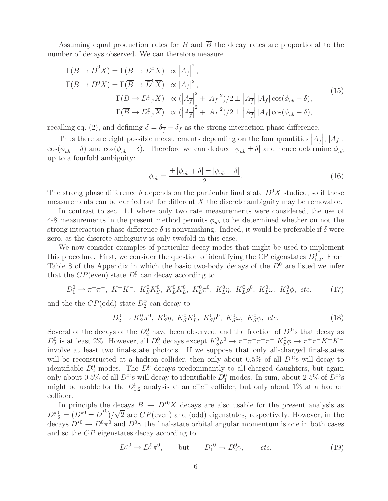Assuming equal production rates for B and  $\overline{B}$  the decay rates are proportional to the number of decays observed. We can therefore measure

$$
\Gamma(B \to \overline{D}^0 X) = \Gamma(\overline{B} \to D^0 \overline{X}) \quad \propto \left| A_{\overline{f}} \right|^2,
$$
  
\n
$$
\Gamma(B \to D^0 X) = \Gamma(\overline{B} \to \overline{D}^0 \overline{X}) \quad \propto \left| A_f \right|^2,
$$
  
\n
$$
\Gamma(B \to D_{1,2}^0 X) \quad \propto \left( \left| A_{\overline{f}} \right|^2 + \left| A_f \right|^2 \right) / 2 \pm \left| A_{\overline{f}} \right| |A_f| \cos(\phi_{ub} + \delta),
$$
  
\n
$$
\Gamma(\overline{B} \to D_{1,2}^0 \overline{X}) \quad \propto \left( \left| A_{\overline{f}} \right|^2 + \left| A_f \right|^2 \right) / 2 \pm \left| A_{\overline{f}} \right| |A_f| \cos(\phi_{ub} - \delta),
$$
\n(15)

recalling eq. (2), and defining  $\delta = \delta_{\overline{f}} - \delta_f$  as the strong-interaction phase difference.

Thus there are eight possible measurements depending on the four quantities  $|A_{\overline{f}}|, |A_f|$ ,  $\cos(\phi_{ub} + \delta)$  and  $\cos(\phi_{ub} - \delta)$ . Therefore we can deduce  $|\phi_{ub} \pm \delta|$  and hence determine  $\phi_{ub}$ up to a fourfold ambiguity:

$$
\phi_{ub} = \frac{\pm |\phi_{ub} + \delta| \pm |\phi_{ub} - \delta|}{2}.
$$
\n(16)

The strong phase difference  $\delta$  depends on the particular final state  $D^0X$  studied, so if these measurements can be carried out for different  $X$  the discrete ambiguity may be removable.

In contrast to sec. 1.1 where only two rate measurements were considered, the use of 4-8 measurements in the present method permits  $\phi_{ub}$  to be determined whether on not the strong interaction phase difference  $\delta$  is nonvanishing. Indeed, it would be preferable if  $\delta$  were zero, as the discrete ambiguity is only twofold in this case.

We now consider examples of particular decay modes that might be used to implement this procedure. First, we consider the question of identifying the CP eigenstates  $D_{1,2}^0$ . From Table 8 of the Appendix in which the basic two-body decays of the  $D^0$  are listed we infer that the  $CP$ (even) state  $D_1^0$  can decay according to

$$
D_1^0 \to \pi^+ \pi^-, \ K^+ K^-, \ K_S^0 K_S^0, \ K_L^0 K_L^0, \ K_L^0 \pi^0, \ K_L^0 \eta, \ K_L^0 \rho^0, \ K_L^0 \omega, \ K_L^0 \phi, \ etc.
$$
 (17)

and the the  $CP(\text{odd})$  state  $D_2^0$  can decay to

$$
D_2^0 \to K_S^0 \pi^0, \ K_S^0 \eta, \ K_S^0 K_L^0, \ K_S^0 \rho^0, \ K_S^0 \omega, \ K_S^0 \phi, \ etc.
$$
 (18)

Several of the decays of the  $D_2^0$  have been observed, and the fraction of  $D^0$ 's that decay as  $D_2^0$  is at least 2%. However, all  $D_2^0$  decays except  $K_S^0 \rho^0 \to \pi^+ \pi^- \pi^+ \pi^- K_S^0 \phi \to \pi^+ \pi^- K^+ K^$ involve at least two final-state photons. If we suppose that only all-charged final-states will be reconstructed at a hadron collider, then only about 0.5% of all  $D^0$ 's will decay to identifiable  $D_2^0$  modes. The  $D_1^0$  decays predominantly to all-charged daughters, but again only about 0.5% of all  $D^0$ 's will decay to identifiable  $D_1^0$  modes. In sum, about 2-5% of  $D^0$ 's might be usable for the  $D_{1,2}^0$  analysis at an  $e^+e^-$  collider, but only about 1% at a hadron collider.

In principle the decays  $B \to D^{*0}X$  decays are also usable for the present analysis as  $D_{1,2}^{*0} = (D^{*0} \pm \overline{D}^{*0})/\sqrt{2}$  are  $CP$  (even) and (odd) eigenstates, respectively. However, in the decays  $D^{*0} \to D^0 \pi^0$  and  $D^0 \gamma$  the final-state orbital angular momentum is one in both cases and so the CP eigenstates decay according to

$$
D_1^{*0} \to D_1^0 \pi^0, \qquad \text{but} \qquad D_1^{*0} \to D_2^0 \gamma, \qquad etc.
$$
 (19)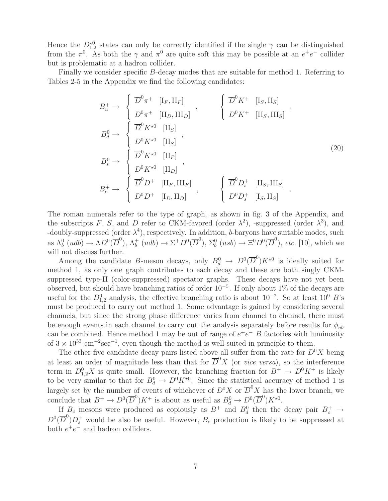Hence the  $D_{1,2}^{\star 0}$  states can only be correctly identified if the single  $\gamma$  can be distinguished from the  $\pi^0$ . As both the  $\gamma$  and  $\pi^0$  are quite soft this may be possible at an  $e^+e^-$  collider but is problematic at a hadron collider.

Finally we consider specific B-decay modes that are suitable for method 1. Referring to Tables 2-5 in the Appendix we find the following candidates:

$$
B_u^+ \rightarrow \begin{cases} \overline{D}^0 \pi^+ & [\mathbf{I}_F, \mathbf{II}_F] \\ D^0 \pi^+ & [\mathbf{II}_D, \mathbf{III}_D] \end{cases} , \qquad \begin{cases} \overline{D}^0 K^+ & [\mathbf{I}_S, \mathbf{II}_S] \\ D^0 K^+ & [\mathbf{II}_S, \mathbf{III}_S] \end{cases} ,
$$
\n
$$
B_d^0 \rightarrow \begin{cases} \overline{D}^0 K^{\star 0} & [\mathbf{II}_S] \\ D^0 K^{\star 0} & [\mathbf{II}_S] \end{cases} ,
$$
\n
$$
B_s^0 \rightarrow \begin{cases} \overline{D}^0 K^{\star 0} & [\mathbf{II}_F] \\ D^0 K^{\star 0} & [\mathbf{II}_D] \end{cases} ,
$$
\n
$$
B_c^+ \rightarrow \begin{cases} \overline{D}^0 D^+ & [\mathbf{II}_F, \mathbf{III}_F] \\ D^0 D^+ & [\mathbf{I}_D, \mathbf{II}_D] \end{cases} , \qquad \begin{cases} \overline{D}^0 D_s^+ & [\mathbf{II}_S, \mathbf{III}_S] \\ D^0 D_s^+ & [\mathbf{I}_S, \mathbf{II}_S] \end{cases} .
$$
\n
$$
(20)
$$

The roman numerals refer to the type of graph, as shown in fig. 3 of the Appendix, and the subscripts F, S, and D refer to CKM-favored (order  $\lambda^2$ ), -suppressed (order  $\lambda^3$ ), and -doubly-suppressed (order  $\lambda^4$ ), respectively. In addition, b-baryons have suitable modes, such as  $\Lambda_b^0$  (udb)  $\to \Lambda_D^{0}(\overline{D}^0)$ ,  $\Lambda_b^+$  (udb)  $\to \Sigma^+ D^0(\overline{D}^0)$ ,  $\Sigma_b^0$  (usb)  $\to \Xi^0 D^0(\overline{D}^0)$ , etc. [10], which we will not discuss further.

Among the candidate B-meson decays, only  $B_d^0 \to D^0(\overline{D}^0)K^{\star 0}$  is ideally suited for method 1, as only one graph contributes to each decay and these are both singly CKMsuppressed type-II (color-suppressed) spectator graphs. These decays have not yet been observed, but should have branching ratios of order 10−<sup>5</sup>. If only about 1% of the decays are useful for the  $D_{1,2}^0$  analysis, the effective branching ratio is about  $10^{-7}$ . So at least  $10^9$  B's must be produced to carry out method 1. Some advantage is gained by considering several channels, but since the strong phase difference varies from channel to channel, there must be enough events in each channel to carry out the analysis separately before results for  $\phi_{ub}$ can be combined. Hence method 1 may be out of range of  $e^+e^-$  B factories with luminosity of  $3 \times 10^{33}$  cm<sup>-2</sup>sec<sup>-1</sup>, even though the method is well-suited in principle to them.

The other five candidate decay pairs listed above all suffer from the rate for  $D^0 X$  being at least an order of magnitude less than that for  $\overline{D}^0 X$  (or *vice versa*), so the interference term in  $D_{1,2}^0 X$  is quite small. However, the branching fraction for  $B^+ \to D^0 K^+$  is likely to be very similar to that for  $B_d^0 \to D^0 K^{*0}$ . Since the statistical accuracy of method 1 is largely set by the number of events of whichever of  $D^0X$  or  $\overline{D}^0X$  has the lower branch, we conclude that  $B^+ \to D^0(\overline{D}^0)K^+$  is about as useful as  $B_d^0 \to D^0(\overline{D}^0)K^{*0}$ .

If  $B_c$  mesons were produced as copiously as  $B^+$  and  $B_d^0$  then the decay pair  $B_c^+ \rightarrow$  $D^0(\overline{D}^0)D_s^+$  would be also be useful. However,  $B_c$  production is likely to be suppressed at both  $e^+e^-$  and hadron colliders.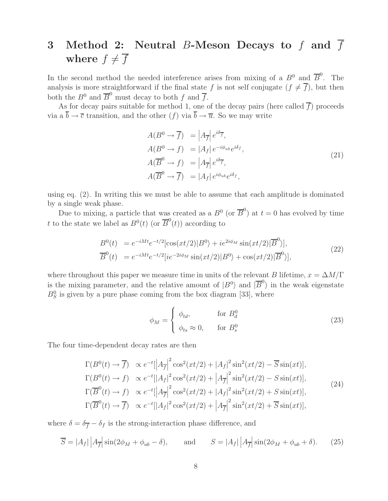# **3 Method 2: Neutral** B**-Meson Decays to** f **and** f where  $f \neq \overline{f}$

In the second method the needed interference arises from mixing of a  $B^0$  and  $\overline{B}^0$ . The analysis is more straightforward if the final state f is not self conjugate  $(f \neq \overline{f})$ , but then both the  $B^0$  and  $\overline{B}^0$  must decay to both f and  $\overline{f}$ .

As for decay pairs suitable for method 1, one of the decay pairs (here called  $\overline{f}$ ) proceeds via a  $\overline{b} \to \overline{c}$  transition, and the other  $(f)$  via  $\overline{b} \to \overline{u}$ . So we may write

$$
A(B^{0} \to \overline{f}) = |A_{\overline{f}}| e^{i\delta_{\overline{f}}},
$$
  
\n
$$
A(B^{0} \to f) = |A_{f}| e^{-i\phi_{ub}} e^{i\delta_{f}},
$$
  
\n
$$
A(\overline{B}^{0} \to f) = |A_{\overline{f}}| e^{i\delta_{\overline{f}}},
$$
  
\n
$$
A(\overline{B}^{0} \to \overline{f}) = |A_{f}| e^{i\phi_{ub}} e^{i\delta_{f}},
$$
\n(21)

using eq. (2). In writing this we must be able to assume that each amplitude is dominated by a single weak phase.

Due to mixing, a particle that was created as a  $B^0$  (or  $\overline{B}^0$ ) at  $t=0$  has evolved by time t to the state we label as  $B^0(t)$  (or  $\overline{B}^0(t)$ ) according to

$$
B^{0}(t) = e^{-iMt}e^{-t/2}[\cos(xt/2)|B^{0}\rangle + ie^{2i\phi_{M}}\sin(xt/2)|\overline{B}^{0}\rangle],
$$
  
\n
$$
\overline{B}^{0}(t) = e^{-iMt}e^{-t/2}[ie^{-2i\phi_{M}}\sin(xt/2)|B^{0}\rangle + \cos(xt/2)|\overline{B}^{0}\rangle],
$$
\n(22)

where throughout this paper we measure time in units of the relevant B lifetime,  $x = \Delta M/\Gamma$ is the mixing parameter, and the relative amount of  $|B^0\rangle$  and  $|\overline{B}^0\rangle$  in the weak eigenstate  $B_S^0$  is given by a pure phase coming from the box diagram [33], where

$$
\phi_M = \begin{cases} \phi_{td}, & \text{for } B_d^0 \\ \phi_{ts} \approx 0, & \text{for } B_s^0 \end{cases}
$$
 (23)

The four time-dependent decay rates are then

$$
\Gamma(B^0(t) \to \overline{f}) \propto e^{-t} \left| \left| A_{\overline{f}} \right|^2 \cos^2(xt/2) + |A_f|^2 \sin^2(xt/2) - \overline{S} \sin(xt) \right|,
$$
  
\n
$$
\Gamma(B^0(t) \to f) \propto e^{-t} \left| \left| A_f \right|^2 \cos^2(xt/2) + \left| A_{\overline{f}} \right|^2 \sin^2(xt/2) - S \sin(xt) \right|,
$$
  
\n
$$
\Gamma(\overline{B}^0(t) \to f) \propto e^{-t} \left| \left| A_{\overline{f}} \right|^2 \cos^2(xt/2) + \left| A_f \right|^2 \sin^2(xt/2) + S \sin(xt) \right|,
$$
  
\n
$$
\Gamma(\overline{B}^0(t) \to \overline{f}) \propto e^{-t} \left| \left| A_f \right|^2 \cos^2(xt/2) + \left| A_{\overline{f}} \right|^2 \sin^2(xt/2) + \overline{S} \sin(xt) \right|,
$$
\n(24)

where  $\delta = \delta_{\overline{f}} - \delta_f$  is the strong-interaction phase difference, and

$$
\overline{S} = |A_f| \left| A_{\overline{f}} \right| \sin(2\phi_M + \phi_{ub} - \delta), \quad \text{and} \quad S = |A_f| \left| A_{\overline{f}} \right| \sin(2\phi_M + \phi_{ub} + \delta). \tag{25}
$$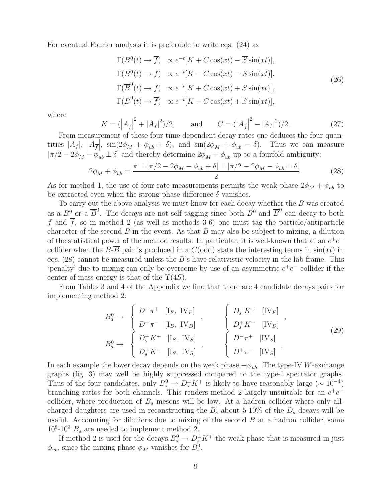For eventual Fourier analysis it is preferable to write eqs. (24) as

$$
\Gamma(B^0(t) \to \overline{f}) \propto e^{-t}[K + C\cos(xt) - \overline{S}\sin(xt)],
$$
  
\n
$$
\Gamma(B^0(t) \to f) \propto e^{-t}[K - C\cos(xt) - S\sin(xt)],
$$
  
\n
$$
\Gamma(\overline{B}^0(t) \to f) \propto e^{-t}[K + C\cos(xt) + S\sin(xt)],
$$
  
\n
$$
\Gamma(\overline{B}^0(t) \to \overline{f}) \propto e^{-t}[K - C\cos(xt) + \overline{S}\sin(xt)],
$$
\n(26)

where

$$
K = (\left| A_{\overline{f}} \right|^2 + \left| A_f \right|^2)/2, \quad \text{and} \quad C = (\left| A_{\overline{f}} \right|^2 - \left| A_f \right|^2)/2. \tag{27}
$$

From measurement of these four time-dependent decay rates one deduces the four quantities  $|A_f|$ ,  $|A_{\overline{f}}|$ ,  $\sin(2\phi_M + \phi_{ub} + \delta)$ , and  $\sin(2\phi_M + \phi_{ub} - \delta)$ . Thus we can measure  $|\pi/2 - 2\phi_M - \phi_{ub} \pm \delta|$  and thereby determine  $2\phi_M + \phi_{ub}$  up to a fourfold ambiguity:

$$
2\phi_M + \phi_{ub} = \frac{\pi \pm |\pi/2 - 2\phi_M - \phi_{ub} + \delta| \pm |\pi/2 - 2\phi_M - \phi_{ub} \pm \delta|}{2}.
$$
 (28)

As for method 1, the use of four rate measurements permits the weak phase  $2\phi_M + \phi_{ub}$  to be extracted even when the strong phase difference  $\delta$  vanishes.

To carry out the above analysis we must know for each decay whether the B was created as a  $B^0$  or a  $\overline{B}^0$ . The decays are not self tagging since both  $B^0$  and  $\overline{B}^0$  can decay to both f and  $\overline{f}$ , so in method 2 (as well as methods 3-6) one must tag the particle/antiparticle character of the second  $B$  in the event. As that  $B$  may also be subject to mixing, a dilution of the statistical power of the method results. In particular, it is well-known that at an  $e^+e^$ collider when the B- $\overline{B}$  pair is produced in a C(odd) state the interesting terms in  $\sin(xt)$  in eqs.  $(28)$  cannot be measured unless the B's have relativistic velocity in the lab frame. This 'penalty' due to mixing can only be overcome by use of an asymmetric  $e^+e^-$  collider if the center-of-mass energy is that of the  $\Upsilon(4S)$ .

From Tables 3 and 4 of the Appendix we find that there are 4 candidate decays pairs for implementing method 2:

$$
B_d^0 \to \begin{cases} D^-\pi^+ & [I_F, \text{ IV}_F] \\ D^+\pi^- & [I_D, \text{ IV}_D] \end{cases}, \qquad \begin{cases} D_s^-K^+ & [I V_F] \\ D_s^+K^- & [I V_D] \end{cases}, \\ B_s^0 \to \begin{cases} D_s^-K^+ & [I_S, \text{ IV}_S] \\ D_s^+K^- & [I_S, \text{ IV}_S] \end{cases}, \qquad \begin{cases} D^-\pi^+ & [I V_B] \\ D^+\pi^- & [I V_S] \end{cases}, \qquad (29)
$$

In each example the lower decay depends on the weak phase  $-\phi_{ub}$ . The type-IV W-exchange graphs (fig. 3) may well be highly suppressed compared to the type-I spectator graphs. Thus of the four candidates, only  $B_s^0 \to D_s^{\pm} K^{\mp}$  is likely to have reasonably large ( $\sim 10^{-4}$ ) branching ratios for both channels. This renders method 2 largely unsuitable for an  $e^+e^$ collider, where production of  $B_s$  mesons will be low. At a hadron collider where only allcharged daughters are used in reconstructing the  $B_s$  about 5-10% of the  $D_s$  decays will be useful. Accounting for dilutions due to mixing of the second  $B$  at a hadron collider, some  $10^8\t{-}10^9$   $B_s$  are needed to implement method 2.

If method 2 is used for the decays  $B_s^0 \to D_s^{\pm} K^{\mp}$  the weak phase that is measured in just  $\phi_{ub}$ , since the mixing phase  $\phi_M$  vanishes for  $B_s^0$ .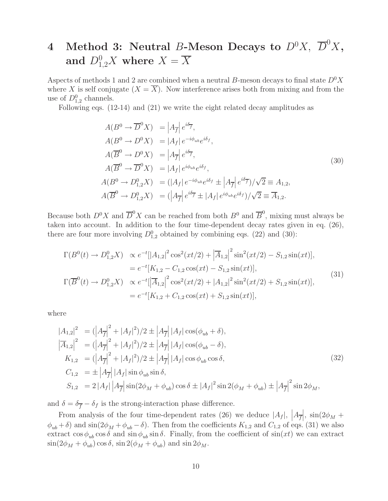# $4$  Method 3: Neutral *B*-Meson Decays to  $D^0X$ ,  $\overline{D}^0X$ , and  $D_{1,2}^0 X$  where  $X = \overline{X}$

Aspects of methods 1 and 2 are combined when a neutral B-meson decays to final state  $D^0X$ where X is self conjugate  $(X = \overline{X})$ . Now interference arises both from mixing and from the use of  $D_{1,2}^0$  channels.

Following eqs. (12-14) and (21) we write the eight related decay amplitudes as

$$
A(B^0 \to \overline{D}^0 X) = |A_{\overline{f}}| e^{i\delta_{\overline{f}}},
$$
  
\n
$$
A(B^0 \to D^0 X) = |A_f| e^{-i\phi_{ub}} e^{i\delta_f},
$$
  
\n
$$
A(\overline{B}^0 \to D^0 X) = |A_{\overline{f}}| e^{i\delta_{\overline{f}}},
$$
  
\n
$$
A(\overline{B}^0 \to \overline{D}^0 X) = |A_f| e^{i\phi_{ub}} e^{i\delta_f},
$$
  
\n
$$
A(B^0 \to D^0_{1,2} X) = (|A_f| e^{-i\phi_{ub}} e^{i\delta_f} \pm |A_{\overline{f}}| e^{i\delta_{\overline{f}}}) / \sqrt{2} \equiv A_{1,2},
$$
  
\n
$$
A(\overline{B}^0 \to D^0_{1,2} X) = (|A_{\overline{f}}| e^{i\delta_{\overline{f}}} \pm |A_f| e^{i\phi_{ub}} e^{i\delta_f}) / \sqrt{2} \equiv \overline{A}_{1,2}.
$$
  
\n(30)

Because both  $D^0 X$  and  $\overline{D}^0 X$  can be reached from both  $B^0$  and  $\overline{B}^0$ , mixing must always be taken into account. In addition to the four time-dependent decay rates given in eq. (26), there are four more involving  $D_{1,2}^0$  obtained by combining eqs. (22) and (30):

$$
\Gamma(B^{0}(t) \to D_{1,2}^{0} X) \propto e^{-t} [|A_{1,2}|^{2} \cos^{2}(xt/2) + |\overline{A}_{1,2}|^{2} \sin^{2}(xt/2) - S_{1,2} \sin(xt)],
$$
\n
$$
= e^{-t} [K_{1,2} - C_{1,2} \cos(xt) - S_{1,2} \sin(xt)],
$$
\n
$$
\Gamma(\overline{B}^{0}(t) \to D_{1,2}^{0} X) \propto e^{-t} [|\overline{A}_{1,2}|^{2} \cos^{2}(xt/2) + |A_{1,2}|^{2} \sin^{2}(xt/2) + S_{1,2} \sin(xt)],
$$
\n
$$
= e^{-t} [K_{1,2} + C_{1,2} \cos(xt) + S_{1,2} \sin(xt)],
$$
\n(31)

where

$$
|A_{1,2}|^2 = (|A_f|^2 + |A_f|^2)/2 \pm |A_f| |\cos(\phi_{ub} + \delta),
$$
  
\n
$$
|\overline{A}_{1,2}|^2 = (|A_f|^2 + |A_f|^2)/2 \pm |A_f| |A_f| |\cos(\phi_{ub} - \delta),
$$
  
\n
$$
K_{1,2} = (|A_f|^2 + |A_f|^2)/2 \pm |A_f| |A_f| |\cos \phi_{ub} \cos \delta,
$$
  
\n
$$
C_{1,2} = \pm |A_f| |A_f| |\sin \phi_{ub} \sin \delta,
$$
  
\n
$$
S_{1,2} = 2 |A_f| |A_f| |\sin(2\phi_M + \phi_{ub}) \cos \delta \pm |A_f|^2 \sin 2(\phi_M + \phi_{ub}) \pm |A_f|^2 \sin 2\phi_M,
$$
\n(32)

and  $\delta = \delta_{\overline{f}} - \delta_f$  is the strong-interaction phase difference.

From analysis of the four time-dependent rates (26) we deduce  $|A_f|$ ,  $|A_{\overline{f}}|$ ,  $\sin(2\phi_M +$  $\phi_{ub} + \delta$ ) and sin(2 $\phi_M + \phi_{ub} - \delta$ ). Then from the coefficients  $K_{1,2}$  and  $C_{1,2}$  of eqs. (31) we also extract  $\cos \phi_{ub} \cos \delta$  and  $\sin \phi_{ub} \sin \delta$ . Finally, from the coefficient of  $\sin(xt)$  we can extract  $\sin(2\phi_M + \phi_{ub}) \cos \delta$ ,  $\sin 2(\phi_M + \phi_{ub})$  and  $\sin 2\phi_M$ .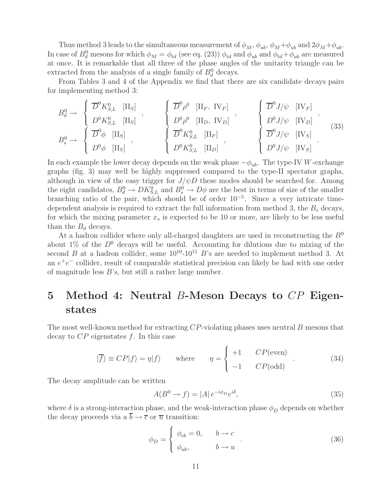Thus method 3 leads to the simultaneous measurement of  $\phi_M$ ,  $\phi_{ub}$ ,  $\phi_M + \phi_{ub}$  and  $2\phi_M + \phi_{ub}$ . In case of  $B_d^0$  mesons for which  $\phi_M = \phi_{td}$  (see eq. (23))  $\phi_{td}$  and  $\phi_{ub}$  and  $\phi_{td} + \phi_{ub}$  are measured at once. It is remarkable that all three of the phase angles of the unitarity triangle can be extracted from the analysis of a single family of  $B_d^0$  decays.

From Tables 3 and 4 of the Appendix we find that there are six candidate decays pairs for implementing method 3:

$$
B_d^0 \rightarrow \begin{cases} \overline{D}^0 K_{S,L}^0 & [\mathrm{II}_S] \\ D^0 K_{S,L}^0 & [\mathrm{II}_S] \end{cases}, \qquad \begin{cases} \overline{D}^0 \rho^0 & [\mathrm{II}_F, \mathrm{IV}_F] \\ D^0 \rho^0 & [\mathrm{II}_D, \mathrm{IV}_D] \end{cases}, \qquad \begin{cases} \overline{D}^0 J/\psi & [\mathrm{IV}_F] \\ D^0 J/\psi & [\mathrm{IV}_D] \end{cases}, \qquad \begin{cases} B^0 J/\psi & [\mathrm{IV}_F] \\ D^0 J/\psi & [\mathrm{IV}_D] \end{cases}, \qquad \begin{cases} B^0 J/\psi & [\mathrm{IV}_D] \\ D^0 J/\psi & [\mathrm{IV}_S] \end{cases} \qquad (33)
$$

In each example the lower decay depends on the weak phase  $-\phi_{ub}$ . The type-IV W-exchange graphs (fig. 3) may well be highly suppressed compared to the type-II spectator graphs, although in view of the easy trigger for  $J/\psi D$  these modes should be searched for. Among the eight candidates,  $B_d^0 \to D K_{S,L}^0$  and  $B_s^0 \to D\phi$  are the best in terms of size of the smaller branching ratio of the pair, which should be of order  $10^{-5}$ . Since a very intricate timedependent analysis is required to extract the full information from method 3, the  $B<sub>s</sub>$  decays, for which the mixing parameter  $x_s$  is expected to be 10 or more, are likely to be less useful than the  $B_d$  decays.

At a hadron collider where only all-charged daughters are used in reconstructing the  $B<sup>0</sup>$ about 1% of the  $D^0$  decays will be useful. Accounting for dilutions due to mixing of the second B at a hadron collider, some  $10^{10}$ - $10^{11}$  B's are needed to implement method 3. At an e+e<sup>−</sup> collider, result of comparable statistical precision can likely be had with one order of magnitude less B's, but still a rather large number.

## **5 Method 4: Neutral** B**-Meson Decays to** CP **Eigenstates**

The most well-known method for extracting  $CP$ -violating phases uses neutral B mesons that decay to  $CP$  eigenstates f. In this case

$$
|\overline{f}\rangle \equiv CP|f\rangle = \eta|f\rangle \quad \text{where} \quad \eta = \begin{cases} +1 & CP(\text{even}) \\ -1 & CP(\text{odd}) \end{cases} . \tag{34}
$$

The decay amplitude can be written

$$
A(B^0 \to f) = |A| e^{-i\phi_D} e^{i\delta}, \qquad (35)
$$

where  $\delta$  is a strong-interaction phase, and the weak-interaction phase  $\phi_D$  depends on whether the decay proceeds via a  $\overline{b} \to \overline{c}$  or  $\overline{u}$  transition:

$$
\phi_D = \begin{cases} \phi_{cb} = 0, & b \to c \\ \phi_{ub}, & b \to u \end{cases} . \tag{36}
$$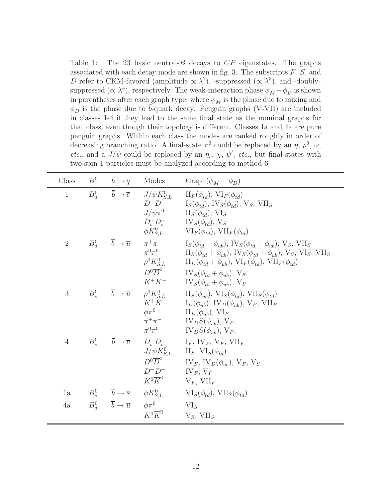Table 1: The 23 basic neutral- $B$  decays to  $CP$  eigenstates. The graphs associated with each decay mode are shown in fig. 3. The subscripts  $F, S$ , and D refer to CKM-favored (amplitude  $\propto \lambda^2$ ), -suppressed ( $\propto \lambda^3$ ), and -doublysuppressed ( $\propto \lambda^4$ ), respectively. The weak-interaction phase  $\phi_M + \phi_D$  is shown in parentheses after each graph type, where  $\phi_M$  is the phase due to mixing and  $\phi_D$  is the phase due to  $\bar{b}$ -quark decay. Penguin graphs (V-VII) are included in classes 1-4 if they lead to the same final state as the nominal graphs for that class, even though their topology is different. Classes 1a and 4a are pure penguin graphs. Within each class the modes are ranked roughly in order of decreasing branching ratio. A final-state  $\pi^0$  could be replaced by an  $\eta$ ,  $\rho^0$ ,  $\omega$ , etc., and a  $J/\psi$  could be replaced by an  $\eta_c$ ,  $\chi$ ,  $\psi'$ , etc., but final states with two spin-1 particles must be analyzed according to method 6.

| Class          |                                                                  |                                                                  | $B^0$ $\overline{b} \rightarrow \overline{q}$ Modes Graph $(\phi_M + \phi_D)$                                                                                                                                                                                                                                                                                                                                                                                                                                           |
|----------------|------------------------------------------------------------------|------------------------------------------------------------------|-------------------------------------------------------------------------------------------------------------------------------------------------------------------------------------------------------------------------------------------------------------------------------------------------------------------------------------------------------------------------------------------------------------------------------------------------------------------------------------------------------------------------|
| $\mathbf{1}$   |                                                                  | $D^+D^-$                                                         | $B_d^0$ $\overline{b} \to \overline{c}$ $J/\psi K_{S,L}^0$ $\text{II}_F(\phi_{td}), \text{VI}_F(\phi_{td})$<br>$I_S(\phi_{td}), IV_S(\phi_{td}), V_S, VII_S$<br>$J/\psi \pi^0$ II <sub>S</sub> ( $\phi_{td}$ ), VI <sub>S</sub><br>$D_s^+ D_s^ \qquad$ $\widetilde{W}_S(\phi_{td}), \widetilde{V}_S$<br>$\phi K_{S.L}^0$ $VI_F(\phi_{td}), VII_F(\phi_{td})$                                                                                                                                                            |
| $\overline{2}$ |                                                                  | $\pi^0\pi^0$                                                     | $B_d^0$ $\overline{b} \to \overline{u}$ $\pi^+\pi^ I_S(\phi_{td} + \phi_{ub}), \text{IV}_S(\phi_{td} + \phi_{ub}), \text{V}_S, \text{VII}_S$<br>$\Pi_S(\phi_{td} + \phi_{ub}), \, \text{IV}_S(\phi_{td} + \phi_{ub}), \, \text{V}_S, \, \text{VI}_S, \, \text{VII}_S$<br>$\rho^0 K_{S,L}^0$ $\qquad \text{II}_D(\phi_{td} + \phi_{ub}), \text{ VI}_F(\phi_{td}), \text{ VII}_F(\phi_{td})$<br>$D^0\overline{D}^0$ $\qquad$ $\text{IV}_S(\phi_{td} + \phi_{ub}), \text{V}_S$<br>$K^+K^ IV_S(\phi_{td} + \phi_{ub}), V_S$ |
| 3              |                                                                  |                                                                  | $B_s^0$ $\overline{b} \to \overline{u}$ $\rho^0 K_{S,L}^0$ $\text{II}_S(\phi_{ub}), \text{VI}_S(\phi_{td}), \text{VII}_S(\phi_{td})$<br>$K^+K^ I_D(\phi_{ub}), \text{IV}_D(\phi_{ub}), \text{V}_F, \text{VII}_F$<br>$\phi \pi^0$ $\qquad \qquad \Pi_D(\phi_{ub}), \text{ VI}_F$<br>$\pi^+\pi^ \qquad \qquad \text{IV}_D S(\phi_{ub}), \text{V}_F,$<br>$\pi^0 \pi^0$ $\qquad \qquad \text{IV}_D S(\phi_{ub}), \text{V}_F,$                                                                                               |
| $\overline{4}$ |                                                                  | $D^0\overline{D}^0$<br>$D^+D^-$ IV <sub>F</sub> , V <sub>F</sub> | $B_s^0$ $\overline{b} \to \overline{c}$ $D_s^+ D_s^ I_F$ , $IV_F$ , $V_F$ , $VII_F$<br>$J/\psi K_{S,L}^0$ II <sub>S</sub> , VI <sub>S</sub> $(\phi_{td})$<br>$IV_F$ , $IV_D(\phi_{ub})$ , $V_F$ , $V_S$<br>$K^0 \overline{K}^0$ $V_F$ , $VII_F$                                                                                                                                                                                                                                                                         |
| 1a             | $B_s^0$ $\overline{b} \rightarrow \overline{s}$ $\phi K_{S.L}^0$ |                                                                  | $VI_S(\phi_{td}), VII_S(\phi_{td})$                                                                                                                                                                                                                                                                                                                                                                                                                                                                                     |
| 4a             | $B_d^0 \qquad \overline{b} \to \overline{u} \qquad \phi \pi^0$   | $K^0\overline{K}^0$                                              | $VI_S$<br>$V_S$ , VII <sub>S</sub>                                                                                                                                                                                                                                                                                                                                                                                                                                                                                      |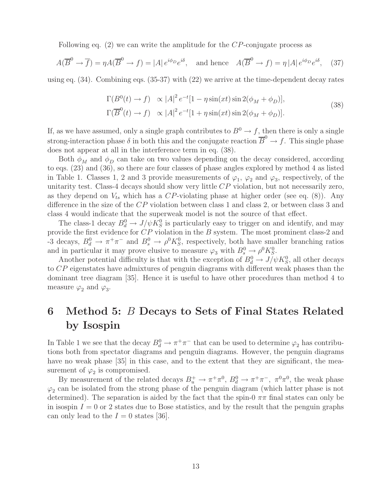Following eq. (2) we can write the amplitude for the CP-conjugate process as

$$
A(\overline{B}^0 \to \overline{f}) = \eta A(\overline{B}^0 \to f) = |A| e^{i\phi_D} e^{i\delta}, \text{ and hence } A(\overline{B}^0 \to f) = \eta |A| e^{i\phi_D} e^{i\delta}, \quad (37)
$$

using eq. (34). Combining eqs. (35-37) with (22) we arrive at the time-dependent decay rates

$$
\Gamma(B^0(t) \to f) \propto |A|^2 e^{-t} [1 - \eta \sin(xt) \sin 2(\phi_M + \phi_D)],
$$
  
\n
$$
\Gamma(\overline{B}^0(t) \to f) \propto |A|^2 e^{-t} [1 + \eta \sin(xt) \sin 2(\phi_M + \phi_D)].
$$
\n(38)

If, as we have assumed, only a single graph contributes to  $B^0 \to f$ , then there is only a single strong-interaction phase  $\delta$  in both this and the conjugate reaction  $\overline{B}^0 \to f$ . This single phase does not appear at all in the interference term in eq. (38).

Both  $\phi_M$  and  $\phi_D$  can take on two values depending on the decay considered, according to eqs. (23) and (36), so there are four classes of phase angles explored by method 4 as listed in Table 1. Classes 1, 2 and 3 provide measurements of  $\varphi_1$ ,  $\varphi_2$  and  $\varphi_3$ , respectively, of the unitarity test. Class-4 decays should show very little  $CP$  violation, but not necessarily zero, as they depend on  $V_{ts}$  which has a CP-violating phase at higher order (see eq. (8)). Any difference in the size of the CP violation between class 1 and class 2, or between class 3 and class 4 would indicate that the superweak model is not the source of that effect.

The class-1 decay  $B_d^0 \rightarrow J/\psi K_S^0$  is particularly easy to trigger on and identify, and may provide the first evidence for CP violation in the B system. The most prominent class-2 and -3 decays,  $B_d^0 \to \pi^+\pi^-$  and  $B_s^0 \to \rho^0 K_S^0$ , respectively, both have smaller branching ratios and in particular it may prove elusive to measure  $\varphi_3$  with  $B_s^0 \to \rho^0 K_S^0$ .

Another potential difficulty is that with the exception of  $B_d^0 \to J/\psi K_S^0$ , all other decays to CP eigenstates have admixtures of penguin diagrams with different weak phases than the dominant tree diagram [35]. Hence it is useful to have other procedures than method 4 to measure  $\varphi_2$  and  $\varphi_3$ .

## **6 Method 5:** B **Decays to Sets of Final States Related by Isospin**

In Table 1 we see that the decay  $B_d^0 \to \pi^+\pi^-$  that can be used to determine  $\varphi_2$  has contributions both from spectator diagrams and penguin diagrams. However, the penguin diagrams have no weak phase [35] in this case, and to the extent that they are significant, the measurement of  $\varphi_2$  is compromised.

By measurement of the related decays  $B_u^+ \to \pi^+\pi^0$ ,  $B_d^0 \to \pi^+\pi^-$ ,  $\pi^0\pi^0$ , the weak phase  $\varphi_2$  can be isolated from the strong phase of the penguin diagram (which latter phase is not determined). The separation is aided by the fact that the spin-0  $\pi\pi$  final states can only be in isospin  $I = 0$  or 2 states due to Bose statistics, and by the result that the penguin graphs can only lead to the  $I = 0$  states [36].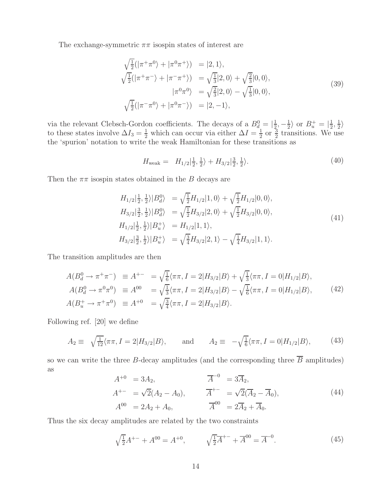The exchange-symmetric  $\pi\pi$  isospin states of interest are

$$
\sqrt{\frac{1}{2}}(|\pi^+\pi^0\rangle + |\pi^0\pi^+\rangle) = |2,1\rangle,\n\sqrt{\frac{1}{2}}(|\pi^+\pi^-\rangle + |\pi^-\pi^+\rangle) = \sqrt{\frac{1}{3}}|2,0\rangle + \sqrt{\frac{2}{3}}|0,0\rangle,\n|\pi^0\pi^0\rangle = \sqrt{\frac{2}{3}}|2,0\rangle - \sqrt{\frac{1}{3}}|0,0\rangle,\n\sqrt{\frac{1}{2}}(|\pi^-\pi^0\rangle + |\pi^0\pi^-\rangle) = |2,-1\rangle,
$$
\n(39)

via the relevant Clebsch-Gordon coefficients. The decays of a  $B_d^0 = |\frac{1}{2}, -\frac{1}{2}\rangle$  or  $B_u^+ = |\frac{1}{2}, \frac{1}{2}\rangle$  to these states involve  $\Delta I_3 = \frac{1}{2}$  which can occur via either  $\Delta I = \frac{1}{2}$  or  $\frac{3}{2}$  transitions. We the 'spurion' notation to write the weak Hamiltonian for these transitions as

$$
H_{\text{weak}} = H_{1/2}|\frac{1}{2}, \frac{1}{2}\rangle + H_{3/2}|\frac{3}{2}, \frac{1}{2}\rangle. \tag{40}
$$

Then the  $\pi\pi$  isospin states obtained in the B decays are

$$
H_{1/2}|\frac{1}{2}, \frac{1}{2}\rangle |B_d^0\rangle = \sqrt{\frac{1}{2}} H_{1/2} |1, 0\rangle + \sqrt{\frac{1}{2}} H_{1/2} |0, 0\rangle,
$$
  
\n
$$
H_{3/2}|\frac{3}{2}, \frac{1}{2}\rangle |B_d^0\rangle = \sqrt{\frac{1}{2}} H_{3/2} |2, 0\rangle + \sqrt{\frac{1}{2}} H_{3/2} |0, 0\rangle,
$$
  
\n
$$
H_{1/2}|\frac{1}{2}, \frac{1}{2}\rangle |B_u^+\rangle = H_{1/2} |1, 1\rangle,
$$
  
\n
$$
H_{3/2}|\frac{3}{2}, \frac{1}{2}\rangle |B_u^+\rangle = \sqrt{\frac{3}{4}} H_{3/2} |2, 1\rangle - \sqrt{\frac{1}{4}} H_{3/2} |1, 1\rangle.
$$
  
\n(41)

The transition amplitudes are then

$$
A(B_d^0 \to \pi^+ \pi^-) \equiv A^{+-} = \sqrt{\frac{1}{6}} \langle \pi \pi, I = 2 | H_{3/2} | B \rangle + \sqrt{\frac{1}{3}} \langle \pi \pi, I = 0 | H_{1/2} | B \rangle,
$$
  
\n
$$
A(B_d^0 \to \pi^0 \pi^0) \equiv A^{00} = \sqrt{\frac{1}{3}} \langle \pi \pi, I = 2 | H_{3/2} | B \rangle - \sqrt{\frac{1}{6}} \langle \pi \pi, I = 0 | H_{1/2} | B \rangle,
$$
  
\n
$$
A(B_u^+ \to \pi^+ \pi^0) \equiv A^{+0} = \sqrt{\frac{3}{4}} \langle \pi \pi, I = 2 | H_{3/2} | B \rangle.
$$
\n(42)

Following ref. [20] we define

$$
A_2 \equiv \sqrt{\frac{1}{12}} \langle \pi \pi, I = 2 | H_{3/2} | B \rangle, \quad \text{and} \quad A_2 \equiv -\sqrt{\frac{1}{6}} \langle \pi \pi, I = 0 | H_{1/2} | B \rangle, \tag{43}
$$

so we can write the three B-decay amplitudes (and the corresponding three  $\overline{B}$  amplitudes) as

$$
A^{+0} = 3A_2, \qquad \overline{A}^{-0} = 3\overline{A}_2, A^{+-} = \sqrt{2}(A_2 - A_0), \qquad \overline{A}^{+-} = \sqrt{2}(\overline{A}_2 - \overline{A}_0), A^{00} = 2A_2 + A_0, \qquad \overline{A}^{00} = 2\overline{A}_2 + \overline{A}_0.
$$
 (44)

Thus the six decay amplitudes are related by the two constraints

$$
\sqrt{\frac{1}{2}}A^{+-} + A^{00} = A^{+0}, \qquad \sqrt{\frac{1}{2}}A^{+-} + \overline{A}^{00} = \overline{A}^{-0}.
$$
 (45)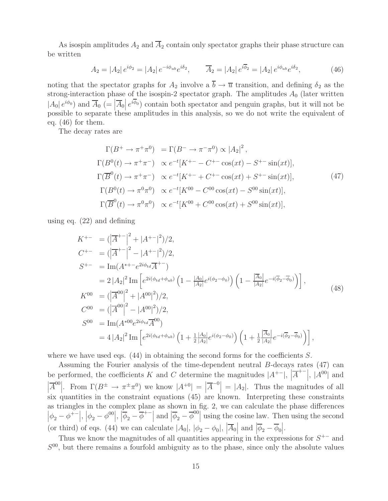As isospin amplitudes  $A_2$  and  $\overline{A}_2$  contain only spectator graphs their phase structure can be written

$$
A_2 = |A_2| e^{i\phi_2} = |A_2| e^{-i\phi_{ub}} e^{i\delta_2}, \qquad \overline{A}_2 = |A_2| e^{i\overline{\phi}_2} = |A_2| e^{i\phi_{ub}} e^{i\delta_2}, \tag{46}
$$

noting that the spectator graphs for  $A_2$  involve a  $\overline{b} \to \overline{u}$  transition, and defining  $\delta_2$  as the strong-interaction phase of the isospin-2 spectator graph. The amplitudes  $A_0$  (later written  $|A_0|e^{i\phi_0}$  and  $\overline{A}_0$  (=  $|\overline{A}_0|e^{i\overline{\phi}_0}$ ) contain both spectator and penguin graphs, but it will not be possible to separate these amplitudes in this analysis, so we do not write the equivalent of eq. (46) for them.

The decay rates are

$$
\Gamma(B^+ \to \pi^+ \pi^0) = \Gamma(B^- \to \pi^- \pi^0) \propto |A_2|^2,
$$
  
\n
$$
\Gamma(B^0(t) \to \pi^+ \pi^-) \propto e^{-t}[K^{+-} - C^{+-} \cos(xt) - S^{+-} \sin(xt)],
$$
  
\n
$$
\Gamma(\overline{B}^0(t) \to \pi^+ \pi^-) \propto e^{-t}[K^{+-} + C^{+-} \cos(xt) + S^{+-} \sin(xt)],
$$
  
\n
$$
\Gamma(B^0(t) \to \pi^0 \pi^0) \propto e^{-t}[K^{00} - C^{00} \cos(xt) - S^{00} \sin(xt)],
$$
  
\n
$$
\Gamma(\overline{B}^0(t) \to \pi^0 \pi^0) \propto e^{-t}[K^{00} + C^{00} \cos(xt) + S^{00} \sin(xt)],
$$
\n(47)

using eq. (22) and defining

$$
K^{+-} = (|\overline{A}^{+-}|^2 + |A^{+-}|^2)/2,
$$
  
\n
$$
C^{+-} = (|\overline{A}^{+-}|^2 - |A^{+-}|^2)/2,
$$
  
\n
$$
S^{+-} = \text{Im}(A^{*+-}e^{2i\phi_{td}}\overline{A}^{+-})
$$
  
\n
$$
= 2|A_2|^2 \text{Im}\left[e^{2i(\phi_{td}+\phi_{ub})}\left(1 - \frac{|A_0|}{|A_2|}e^{i(\phi_2-\phi_0)}\right)\left(1 - \frac{|\overline{A}_0|}{|A_2|}e^{-i(\overline{\phi}_2-\overline{\phi}_0)}\right)\right],
$$
  
\n
$$
K^{00} = (|\overline{A}^{00}|^2 + |A^{00}|^2)/2,
$$
  
\n
$$
C^{00} = (|\overline{A}^{00}|^2 - |A^{00}|^2)/2,
$$
  
\n
$$
S^{00} = \text{Im}(A^{*00}e^{2i\phi_{td}}\overline{A}^{00})
$$
  
\n
$$
= 4|A_2|^2 \text{Im}\left[e^{2i(\phi_{td}+\phi_{ub})}\left(1 + \frac{1}{2}\frac{|A_0|}{|A_2|}e^{i(\phi_2-\phi_0)}\right)\left(1 + \frac{1}{2}\frac{|\overline{A}_0|}{|A_2|}e^{-i(\overline{\phi}_2-\overline{\phi}_0)}\right)\right],
$$
\n(48)

where we have used eqs.  $(44)$  in obtaining the second forms for the coefficients S.

Assuming the Fourier analysis of the time-dependent neutral B-decays rates (47) can be performed, the coefficients K and C determine the magnitudes  $|A^{+-}|$ ,  $|$  $\overline{A}^{+-}\Big|, |A^{00}|$  and  $\begin{array}{c} \begin{array}{c} \begin{array}{c} \end{array} \\ \begin{array}{c} \end{array} \end{array} \end{array}$  $\overline{A}^{00}$ . From  $\Gamma(B^{\pm} \to \pi^{\pm} \pi^0)$  we know  $|A^{+0}| =$  $\overline{A}^{-0}$  =  $|A_2|$ . Thus the magnitudes of all six quantities in the constraint equations (45) are known. Interpreting these constraints as triangles in the complex plane as shown in fig. 2, we can calculate the phase differences  $\left|\phi_2 - \phi^{+-}\right|, \left|\phi_2 - \phi^{00}\right|, \left|\overline{\phi}_2 - \overline{\phi}^{+-}\right|$  and  $\left|\overline{\phi}_2 - \overline{\phi}^{00}\right|$  using the cosine law. Then using the second (or third) of eqs. (44) we can calculate  $|A_0|, |\phi_2 - \phi_0|, |\overline{A}_0|$  and  $|\overline{\phi}_2 - \overline{\phi}_0|$ .

Thus we know the magnitudes of all quantities appearing in the expressions for  $S^{+-}$  and  $S^{00}$ , but there remains a fourfold ambiguity as to the phase, since only the absolute values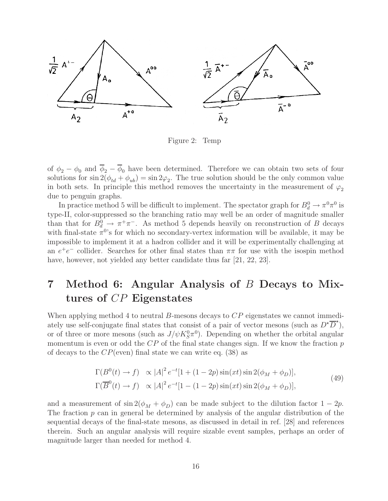

Figure 2: Temp

of  $\phi_2 - \phi_0$  and  $\overline{\phi}_2 - \overline{\phi}_0$  have been determined. Therefore we can obtain two sets of four solutions for  $\sin 2(\phi_{td} + \phi_{ub}) = \sin 2\varphi_2$ . The true solution should be the only common value in both sets. In principle this method removes the uncertainty in the measurement of  $\varphi_2$ due to penguin graphs.

In practice method 5 will be difficult to implement. The spectator graph for  $B_d^0 \to \pi^0 \pi^0$  is type-II, color-suppressed so the branching ratio may well be an order of magnitude smaller than that for  $B_d^0 \to \pi^+\pi^-$ . As method 5 depends heavily on reconstruction of B decays with final-state  $\pi^{0}$ 's for which no secondary-vertex information will be available, it may be impossible to implement it at a hadron collider and it will be experimentally challenging at an  $e^+e^-$  collider. Searches for other final states than  $\pi\pi$  for use with the isospin method have, however, not yielded any better candidate thus far [21, 22, 23].

## **7 Method 6: Angular Analysis of** B **Decays to Mixtures of** CP **Eigenstates**

When applying method 4 to neutral B-mesons decays to CP eigenstates we cannot immediately use self-conjugate final states that consist of a pair of vector mesons (such as  $D^{\star} \overline{D}^{\star}$ ), or of three or more mesons (such as  $J/\psi K_S^0 \pi^0$ ). Depending on whether the orbital angular momentum is even or odd the  $CP$  of the final state changes sign. If we know the fraction  $p$ of decays to the  $CP$ (even) final state we can write eq. (38) as

$$
\Gamma(B^0(t) \to f) \propto |A|^2 e^{-t} [1 + (1 - 2p) \sin(xt) \sin 2(\phi_M + \phi_D)],
$$
  
\n
$$
\Gamma(\overline{B}^0(t) \to f) \propto |A|^2 e^{-t} [1 - (1 - 2p) \sin(xt) \sin 2(\phi_M + \phi_D)],
$$
\n(49)

and a measurement of  $\sin 2(\phi_M + \phi_D)$  can be made subject to the dilution factor  $1 - 2p$ . The fraction  $p$  can in general be determined by analysis of the angular distribution of the sequential decays of the final-state mesons, as discussed in detail in ref. [28] and references therein. Such an angular analysis will require sizable event samples, perhaps an order of magnitude larger than needed for method 4.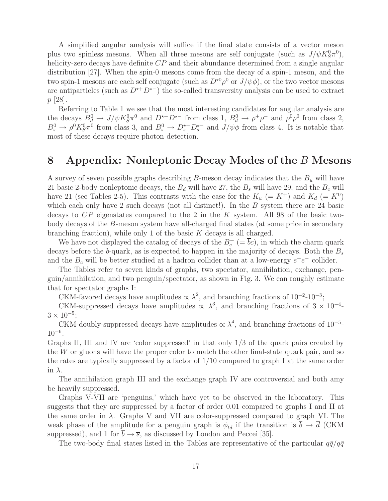A simplified angular analysis will suffice if the final state consists of a vector meson plus two spinless mesons. When all three mesons are self conjugate (such as  $J/\psi K^0_S \pi^0$ ), helicity-zero decays have definite  $CP$  and their abundance determined from a single angular distribution [27]. When the spin-0 mesons come from the decay of a spin-1 meson, and the two spin-1 mesons are each self conjugate (such as  $D^{\star 0} \rho^0$  or  $J/\psi \phi$ ), or the two vector mesons are antiparticles (such as  $D^{*+}D^{*-}$ ) the so-called transversity analysis can be used to extract p [28].

Referring to Table 1 we see that the most interesting candidates for angular analysis are the decays  $B_d^0 \to J/\psi K_S^0 \pi^0$  and  $D^{\star+} D^{\star-}$  from class 1,  $B_d^0 \to \rho^+ \rho^-$  and  $\rho^0 \rho^0$  from class 2,  $B_s^0 \to \rho^0 K_S^0 \pi^0$  from class 3, and  $B_s^0 \to D_s^{*+} D_s^{*-}$  and  $J/\psi \phi$  from class 4. It is notable that most of these decays require photon detection.

### **8 Appendix: Nonleptonic Decay Modes of the** B **Mesons**

A survey of seven possible graphs describing B-meson decay indicates that the  $B<sub>u</sub>$  will have 21 basic 2-body nonleptonic decays, the  $B_d$  will have 27, the  $B_s$  will have 29, and the  $B_c$  will have 21 (see Tables 2-5). This contrasts with the case for the  $K_u$  (=  $K^+$ ) and  $K_d$  (=  $K^0$ ) which each only have 2 such decays (not all distinct!). In the B system there are 24 basic decays to  $CP$  eigenstates compared to the 2 in the K system. All 98 of the basic twobody decays of the B-meson system have all-charged final states (at some price in secondary branching fraction), while only 1 of the basic K decays is all charged.

We have not displayed the catalog of decays of the  $B_c^+$  (=  $\overline{b}c$ ), in which the charm quark decays before the b-quark, as is expected to happen in the majority of decays. Both the  $B_s$ and the  $B_c$  will be better studied at a hadron collider than at a low-energy  $e^+e^-$  collider.

The Tables refer to seven kinds of graphs, two spectator, annihilation, exchange, penguin/annihilation, and two penguin/spectator, as shown in Fig. 3. We can roughly estimate that for spectator graphs I:

CKM-favored decays have amplitudes  $\propto \lambda^2$ , and branching fractions of 10<sup>-2</sup>-10<sup>-3</sup>;

CKM-suppressed decays have amplitudes  $\propto \lambda^3$ , and branching fractions of  $3 \times 10^{-4}$ - $3 \times 10^{-5}$ ;

CKM-doubly-suppressed decays have amplitudes  $\propto \lambda^4$ , and branching fractions of 10<sup>-5</sup>- $10^{-6}$ .

Graphs II, III and IV are 'color suppressed' in that only 1/3 of the quark pairs created by the  $W$  or gluons will have the proper color to match the other final-state quark pair, and so the rates are typically suppressed by a factor of 1/10 compared to graph I at the same order in  $\lambda$ .

The annihilation graph III and the exchange graph IV are controversial and both amy be heavily suppressed.

Graphs V-VII are 'penguins,' which have yet to be observed in the laboratory. This suggests that they are suppressed by a factor of order 0.01 compared to graphs I and II at the same order in  $\lambda$ . Graphs V and VII are color-suppressed compared to graph VI. The weak phase of the amplitude for a penguin graph is  $\phi_{td}$  if the transition is  $\overline{b} \to \overline{d}$  (CKM suppressed), and 1 for  $\overline{b} \to \overline{s}$ , as discussed by London and Peccei [35].

The two-body final states listed in the Tables are representative of the particular  $q\bar{q}/q\bar{q}$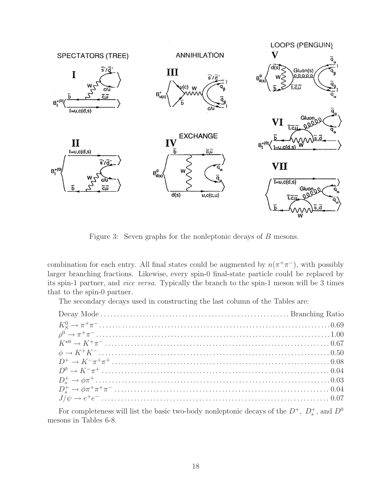

Figure 3: Seven graphs for the nonleptonic decays of B mesons.

combination for each entry. All final states could be augmented by  $n(\pi^+\pi^-)$ , with possibly larger branching fractions. Likewise, every spin-0 final-state particle could be replaced by its spin-1 partner, and vice versa. Typically the branch to the spin-1 meson will be 3 times that to the spin-0 partner.

The secondary decays used in constructing the last column of the Tables are:

For completeness will list the basic two-body nonleptonic decays of the  $D^+$ ,  $D_s^+$ , and  $D^0$ mesons in Tables 6-8.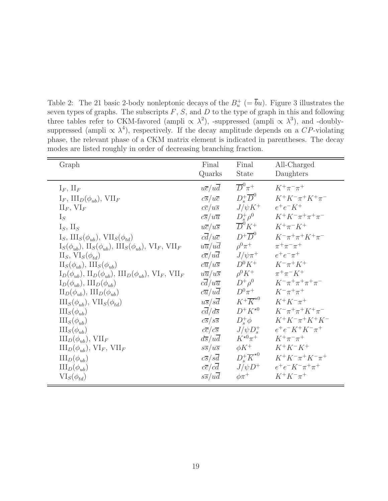Table 2: The 21 basic 2-body nonleptonic decays of the  $B_n^+$  (=  $\overline{b}u$ ). Figure 3 illustrates the seven types of graphs. The subscripts  $F$ ,  $S$ , and  $D$  to the type of graph in this and following three tables refer to CKM-favored (ampli  $\propto \lambda^2$ ), -suppressed (ampli  $\propto \lambda^3$ ), and -doublysuppressed (ampli  $\propto \lambda^4$ ), respectively. If the decay amplitude depends on a CP-violating phase, the relevant phase of a CKM matrix element is indicated in parentheses. The decay modes are listed roughly in order of decreasing branching fraction.

| Graph                                                                                                    | Final                         | Final                             | All-Charged                         |
|----------------------------------------------------------------------------------------------------------|-------------------------------|-----------------------------------|-------------------------------------|
|                                                                                                          | Quarks                        | <b>State</b>                      | Daughters                           |
| $I_F$ , $II_F$                                                                                           | $u\overline{c}/u\overline{d}$ | $\overline{D}^0 \pi^+$            | $K^{+}\pi^{-}\pi^{+}$               |
| $I_F$ , $III_D(\phi_{ub})$ , $VII_F$                                                                     | $c\overline{s}/u\overline{c}$ | $D^+_s\overline{D}^0$             | $K^+K^-\pi^+K^+\pi^-$               |
| $\mathop{\rm II}\nolimits_F, \mathop{\rm VI}\nolimits_F$                                                 | $c\overline{c}/u\overline{s}$ | $J/\psi K^+$                      | $e^+e^-K^+$                         |
| $I_S$                                                                                                    | $c\overline{s}/u\overline{u}$ | $D_s^+\rho^0$                     | $K^+K^-\pi^+\pi^+\pi^-$             |
| $I_S$ , $II_S$                                                                                           | $u\overline{c}/u\overline{s}$ | $\overline{D}^0 K^+$              | $K^+\pi^-K^+$                       |
| $I_S$ , $III_S(\phi_{ub})$ , $VII_S(\phi_{td})$                                                          | $c\overline{d}/u\overline{c}$ | $D^+\overline{D}^0$               | $K^{-}\pi^{+}\pi^{+}K^{+}\pi^{-}$   |
| $I_S(\phi_{ub}), \, \text{II}_S(\phi_{ub}), \, \text{III}_S(\phi_{ub}), \, \text{VI}_F, \, \text{VII}_F$ | $u\overline{u}/u\overline{d}$ | $\rho^0 \pi^+$                    | $\pi^+\pi^-\pi^+$                   |
| $II_S$ , $VI_S(\phi_{td})$                                                                               | $c\overline{c}/u\overline{d}$ | $J/\psi\pi^+$                     | $e^+e^-\pi^+$                       |
| $\text{II}_S(\phi_{ub}), \text{III}_S(\phi_{ub})$                                                        | $c\overline{u}/u\overline{s}$ | $D^0 K^+$                         | $K^{-}\pi^{+}K^{+}$                 |
| $\Pi_D(\phi_{ub}), \Pi_D(\phi_{ub}), \Pi\Pi_D(\phi_{ub}), \text{ VI}_F, \text{ VII}_F$                   | $u\overline{u}/u\overline{s}$ | $\rho^0 K^+$                      | $\pi^{+}\pi^{-}K^{+}$               |
| $I_D(\phi_{ub}), III_D(\phi_{ub})$                                                                       | $c\overline{d}/u\overline{u}$ | $D^+\rho^0$                       | $K^{-}\pi^{+}\pi^{+}\pi^{+}\pi^{-}$ |
| $\text{II}_D(\phi_{ub}), \text{III}_D(\phi_{ub})$                                                        | $c\overline{u}/u\overline{d}$ | $D^0\pi^+$                        | $K^{-}\pi^{+}\pi^{+}$               |
| $\mathrm{III}_S(\phi_{ub}), \mathrm{VII}_S(\phi_{td})$                                                   | $u\overline{s}/s\overline{d}$ | $K^+\overline{K}^{*0}$            | $K^+K^-\pi^+$                       |
| $\mathrm{III}_S(\phi_{ub})$                                                                              | $c\overline{d}/d\overline{s}$ | $D^+K^{\star0}$                   | $K^{-}\pi^{+}\pi^{+}K^{+}\pi^{-}$   |
| $\mathrm{III}_S(\phi_{ub})$                                                                              | $c\overline{s}/s\overline{s}$ | $D^+_s\phi$                       | $K^+K^-\pi^+K^+K^-$                 |
| $\mathrm{III}_S(\phi_{ub})$                                                                              | $c\overline{c}/c\overline{s}$ | $J/\psi D_s^+$                    | $e^+e^-K^+K^-\pi^+$                 |
| $III_D(\phi_{ub}), VII_F$                                                                                | $d\overline{s}/u\overline{d}$ | $K^{\star 0} \pi^+$               | $K^{+}\pi^{-}\pi^{+}$               |
| $\text{III}_D(\phi_{ub}), \text{VI}_F, \text{VII}_F$                                                     | $s\overline{s}/u\overline{s}$ | $\phi K^+$                        | $K^+K^-K^+$                         |
| $\mathrm{III}_D(\phi_{ub})$                                                                              | $c\overline{s}/s\overline{d}$ | $D^+_{\ast}\overline{K}^{\star0}$ | $K^+K^-\pi^+K^-\pi^+$               |
| $\text{III}_D(\phi_{ub})$                                                                                | $c\overline{c}/c\overline{d}$ | $J/\psi D^+$                      | $e^+e^-K^-\pi^+\pi^+$               |
| $VI_S(\phi_{td})$                                                                                        | $s\overline{s}/u\overline{d}$ | $\phi\pi^+$                       | $K^+K^-\pi^+$                       |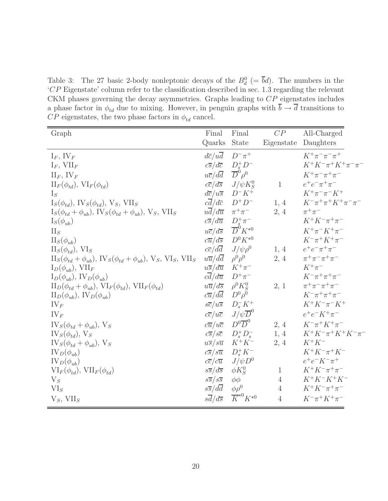Table 3: The 27 basic 2-body nonleptonic decays of the  $B_d^0$  (=  $\bar{b}d$ ). The numbers in the 'CP Eigenstate' column refer to the classification described in sec. 1.3 regarding the relevant CKM phases governing the decay asymmetries. Graphs leading to CP eigenstates includes a phase factor in  $\phi_{td}$  due to mixing. However, in penguin graphs with  $\overline{b} \to \overline{d}$  transitions to  $\overline{CP}$  eigenstates, the two phase factors in  $\phi_{td}$  cancel.

| Graph                                                                                      | Final                         | Final                             | CP             | All-Charged                              |
|--------------------------------------------------------------------------------------------|-------------------------------|-----------------------------------|----------------|------------------------------------------|
|                                                                                            | Quarks                        | <b>State</b>                      | Eigenstate     | Daughters                                |
| $I_F$ , IV <sub>F</sub>                                                                    | $d\overline{c}/u\overline{d}$ | $D^{-}\pi^{+}$                    |                | $K^+\pi^-\pi^-\pi^+$                     |
| $I_F$ , $VII_F$                                                                            | $c\overline{s}/d\overline{c}$ |                                   |                | $K^+K^-\pi^+K^+\pi^-\pi^-$               |
| $\prod_F$ , $\prod_F$                                                                      | $u\overline{c}/d\overline{d}$ | $\frac{D_s^+ D^-}{D^0 \rho^0}$    |                | $K^+\pi^-\pi^+\pi^-$                     |
| $\Pi_F(\phi_{td}), \, \text{VI}_F(\phi_{td})$                                              | $c\overline{c}/d\overline{s}$ | $J/\psi K_S^0$                    | $\mathbf{1}$   | $e^+e^-\pi^+\pi^-$                       |
| $I_S$                                                                                      | $d\overline{c}/u\overline{s}$ | $D^-K^+$                          |                | $K^+\pi^-\pi^-K^+$                       |
| $I_S(\phi_{td}), \text{IV}_S(\phi_{td}), \text{V}_S, \text{VII}_S$                         | $c\overline{d}/d\overline{c}$ | $D^+D^-$                          | 1, 4           | $K^{-}\pi^{+}\pi^{+}K^{+}\pi^{-}\pi^{-}$ |
| $I_S(\phi_{td} + \phi_{ub}), \text{IV}_S(\phi_{td} + \phi_{ub}), \text{V}_S, \text{VII}_S$ | $u\overline{d}/d\overline{u}$ | $\pi^+\pi^-$                      | $2,\,4$        | $\pi^+\pi^-$                             |
| $I_S(\phi_{ub})$                                                                           | $c\overline{s}/d\overline{u}$ | $D_s^+\pi^-$                      |                | $K^+K^-\pi^+\pi^-$                       |
| $\mathrm{II}_S$                                                                            | $u\overline{c}/d\overline{s}$ | $\overline{D}^0 K^{\star 0}$      |                | $K^+\pi^-K^+\pi^-$                       |
| $\text{II}_S(\phi_{ub})$                                                                   | $c\overline{u}/d\overline{s}$ | $D^0 K^{\star 0}$                 |                | $K^{-}\pi^{+}K^{+}\pi^{-}$               |
| $II_S(\phi_{td}), VI_S$                                                                    | $c\overline{c}/d\overline{d}$ | $J/\psi \rho^0$                   | 1, 4           | $e^+e^-\pi^+\pi^-$                       |
| $II_S(\phi_{td} + \phi_{ub}), IV_S(\phi_{td} + \phi_{ub}), V_S, VI_S, VII_S$               | $u\overline{u}/d\overline{d}$ | $\rho^0 \rho^0$                   | 2, 4           | $\pi^{+}\pi^{-}\pi^{+}\pi^{-}$           |
| $I_D(\phi_{ub}), \text{ VII}_F$                                                            | $u\overline{s}/d\overline{u}$ | $K^+\pi^-$                        |                | $K^+\pi^-$                               |
| $I_D(\phi_{ub}), \, IV_D(\phi_{ub})$                                                       | $c\overline{d}/d\overline{u}$ | $D^+\pi^-$                        |                | $K^{-}\pi^{+}\pi^{+}\pi^{-}$             |
| $\text{II}_D(\phi_{td} + \phi_{ub}), \text{VI}_F(\phi_{td}), \text{VII}_F(\phi_{td})$      | $u\overline{u}/d\overline{s}$ | $\rho^0 K_S^0$                    | 2, 1           | $\pi^{+}\pi^{-}\pi^{+}\pi^{-}$           |
| $\Pi_D(\phi_{ub}), \, \text{IV}_D(\phi_{ub})$                                              | $c\overline{u}/d\overline{d}$ | $D^0\rho^0$                       |                | $K^{-}\pi^{+}\pi^{+}\pi^{-}$             |
| $IV_F$                                                                                     | $s\overline{c}/u\overline{s}$ | $D_s^- K^+$                       |                | $K^+K^-\pi^-K^+$                         |
| $IV_F$                                                                                     | $c\overline{c}/u\overline{c}$ | $J/\psi \overline{D}^0$           |                | $e^+e^-K^+\pi^-$                         |
| $IV_S(\phi_{td} + \phi_{ub}), V_S$                                                         | $c\overline{u}/u\overline{c}$ | $D^0\overline{D}^0$               | 2, 4           | $K^{-} \pi^{+} K^{+} \pi^{-}$            |
| $IV_S(\phi_{td}), V_S$                                                                     | $c\overline{s}/s\overline{c}$ | $D_s^+D_s^-$                      | 1, 4           | $K^+K^-\pi^+K^+K^-\pi^-$                 |
| $IV_S(\phi_{td} + \phi_{ub}), V_S$                                                         | $u\overline{s}/s\overline{u}$ | $K^+K^-$                          | 2, 4           | $K^+K^-$                                 |
| $IV_D(\phi_{ub})$                                                                          | $c\overline{s}/s\overline{u}$ | $D_s^+ K^-$                       |                | $K^+K^-\pi^+K^-$                         |
| $IV_D(\phi_{ub})$                                                                          | $c\overline{c}/c\overline{u}$ | $J/\psi D^0$                      |                | $e^+e^-K^-\pi^+$                         |
| $\text{VI}_F(\phi_{td}), \text{VII}_F(\phi_{td})$                                          | $s\overline{s}/d\overline{s}$ | $\phi K_S^0$                      | $\mathbf{1}$   | $K^+K^-\pi^+\pi^-$                       |
| $V_S$                                                                                      | $s\overline{s}/s\overline{s}$ | $\phi\phi$                        | $\overline{4}$ | $K^+K^-K^+K^-$                           |
| $VI_S$                                                                                     | $s\overline{s}/d\overline{d}$ | $\phi \rho^0$                     | $\overline{4}$ | $K^+K^-\pi^+\pi^-$                       |
| $V_S$ , VII <sub>S</sub>                                                                   | $s\overline{d}/d\overline{s}$ | $\overline{K}^{\star0}K^{\star0}$ | $\overline{4}$ | $K^{-}\pi^{+}K^{+}\pi^{-}$               |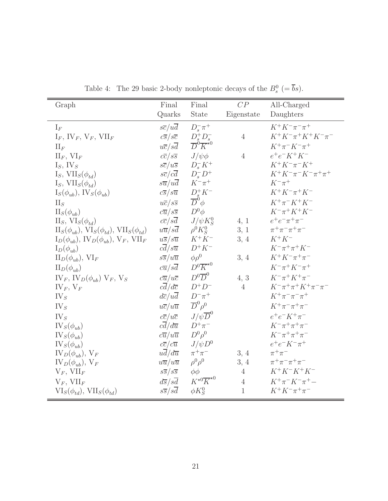| Graph                                                                       | Final                         | Final                                                                     | CP             | All-Charged                     |
|-----------------------------------------------------------------------------|-------------------------------|---------------------------------------------------------------------------|----------------|---------------------------------|
|                                                                             | Quarks                        | State                                                                     | Eigenstate     | Daughters                       |
| $I_F$                                                                       | $s\overline{c}/u\overline{d}$ | $D_s^- \pi^+$                                                             |                | $K^+K^-\pi^-\pi^+$              |
| $I_F$ , IV <sub>F</sub> , V <sub>F</sub> , VII <sub>F</sub>                 | $c\overline{s}/s\overline{c}$ | $D_s^+D_s^-$                                                              | $\overline{4}$ | $K^+K^-\pi^+K^+K^-\pi^-$        |
| $\prod_F$                                                                   | $u\overline{c}/s\overline{d}$ | $\overline{D}^{\overset{\circ}{0}}\overline{K}^{\overset{\circ}{\star}0}$ |                | $K^+\pi^-K^-\pi^+$              |
| $\prod_F, \text{ VI}_F$                                                     | $c\overline{c}/s\overline{s}$ | $J/\psi\phi$                                                              | $\overline{4}$ | $e^+e^-K^+K^-$                  |
| $I_S$ , IV <sub>S</sub>                                                     | $s\overline{c}/u\overline{s}$ | $D_s^-K^+$                                                                |                | $K^+K^-\pi^-K^+$                |
| $I_S$ , $VII_S(\phi_{td})$                                                  | $s\overline{c}/c\overline{d}$ | $D_s^- D^+$                                                               |                | $K^+K^-\pi^-K^-\pi^+\pi^+$      |
| I <sub>S</sub> , $VII_S(\phi_{td})$                                         | $s\overline{u}/u\overline{d}$ | $K^-\pi^+$                                                                |                | $K^-\pi^+$                      |
| $I_S(\phi_{ub}), \, \text{IV}_S(\phi_{ub})$                                 | $c\overline{s}/s\overline{u}$ | $D_s^+ K^-$                                                               |                | $K^+K^-\pi^+K^-$                |
| $\prod_S$                                                                   | $u\overline{c}/s\overline{s}$ | $\overline{D}^0 \phi$                                                     |                | $K^+\pi^-K^+K^-$                |
| $II_S(\phi_{ub})$                                                           | $c\overline{u}/s\overline{s}$ | $D^0\phi$                                                                 |                | $K^{-}\pi^{+}K^{+}K^{-}$        |
| $II_S$ , $VI_S(\phi_{td})$                                                  | $c\overline{c}/s\overline{d}$ | $J/\psi K_S^0$                                                            | 4, 1           | $e^+e^-\pi^+\pi^-$              |
| $\text{II}_S(\phi_{ub}), \text{VI}_S(\phi_{td}), \text{VII}_S(\phi_{td})$   | $u\overline{u}/s\overline{d}$ | $\rho^0 K_S^0$                                                            | 3, 1           | $\pi^{+}\pi^{-}\pi^{+}\pi^{-}$  |
| $I_D(\phi_{ub}), \, \text{IV}_D(\phi_{ub}), \, \text{V}_F, \, \text{VII}_F$ | $u\overline{s}/s\overline{u}$ | $K^+K^-$                                                                  | 3, 4           | $K^+K^-$                        |
| $I_D(\phi_{ub})$                                                            | $c\overline{d}/s\overline{u}$ | $D^+K^-$                                                                  |                | $K^{-}\pi^{+}\pi^{+}K^{-}$      |
| $\Pi_D(\phi_{ub}), \, \text{VI}_F$                                          | $s\overline{s}/u\overline{u}$ | $\phi \rho^0$                                                             | 3, 4           | $K^+K^-\pi^+\pi^-$              |
| $\Pi_D(\phi_{ub})$                                                          | $c\overline{u}/s\overline{d}$ | $D^0 \overline{K}^{\star 0}$                                              |                | $K^{-}\pi^{+}K^{-}\pi^{+}$      |
| $IV_F$ , $IV_D(\phi_{ub})$ $V_F$ , $V_S$                                    | $c\overline{u}/u\overline{c}$ | $D^0\overline{D}^0$                                                       | 4, 3           | $K^{-}\pi^{+}K^{+}\pi^{-}$      |
| $IV_F, V_F$                                                                 | $c\overline{d}/d\overline{c}$ | $D^+D^-$                                                                  | $\overline{4}$ | $K^-\pi^+\pi^+K^+\pi^-\pi^-$    |
| $IV_{S}$                                                                    | $d\overline{c}/u\overline{d}$ | $D^{-}\pi^{+}$                                                            |                | $K^+\pi^-\pi^-\pi^+$            |
| IV <sub>S</sub>                                                             | $u\overline{c}/u\overline{u}$ | $\overline{D}^0\rho^0$                                                    |                | $K^+\pi^-\pi^+\pi^-$            |
| IV <sub>S</sub>                                                             | $c\overline{c}/u\overline{c}$ | $J/\psi \overline{D}^0$                                                   |                | $e^+e^-K^+\pi^-$                |
| $IV_S(\phi_{ub})$                                                           | $c\overline{d}/d\overline{u}$ | $D^+\pi^-$                                                                |                | $K^{-}\pi^{+}\pi^{+}\pi^{-}$    |
| $IV_S(\phi_{ub})$                                                           | $c\overline{u}/u\overline{u}$ | $D^0\rho^0$                                                               |                | $K^{-} \pi^{+} \pi^{+} \pi^{-}$ |
| $IV_S(\phi_{ub})$                                                           | $c\overline{c}/c\overline{u}$ | $J/\psi D^0$                                                              |                | $e^+e^-K^-\pi^+$                |
| $IV_D(\phi_{ub}), V_F$                                                      | $ud/d\overline{u}$            | $\pi^+\pi^-$                                                              | 3, 4           | $\pi^+\pi^-$                    |
| $IV_D(\phi_{ub}), V_F$                                                      | $u\overline{u}/u\overline{u}$ | $\rho^0 \rho^0$                                                           | 3, 4           | $\pi^{+}\pi^{-}\pi^{+}\pi^{-}$  |
| $V_F$ , $VII_F$                                                             | $s\overline{s}/s\overline{s}$ | $\phi\phi$                                                                | $\overline{4}$ | $K^+K^-K^+K^-$                  |
| $V_F$ , $VII_F$                                                             | $d\overline{s}/s\overline{d}$ | $K^{\star0}\overline{K}^{\star0}$                                         | $\overline{4}$ | $K^+\pi^-K^-\pi^+ -$            |
| $VI_S(\phi_{td}), VII_S(\phi_{td})$                                         | $s\overline{s}/s\overline{d}$ | $\phi K_S^0$                                                              | $\mathbf{1}$   | $K^+K^-\pi^+\pi^-$              |

Table 4: The 29 basic 2-body nonleptonic decays of the  $B_s^0$  (=  $\overline{b}s$ ).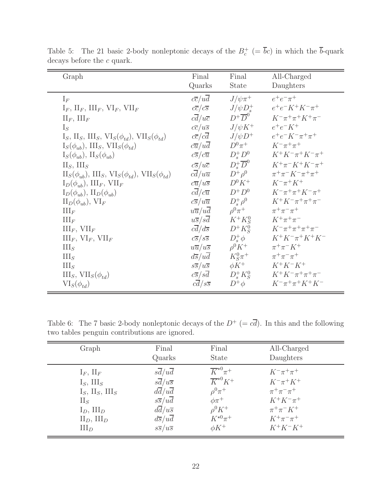| Graph                                                                                     | Final                         | Final                 | All-Charged                           |
|-------------------------------------------------------------------------------------------|-------------------------------|-----------------------|---------------------------------------|
|                                                                                           | Quarks                        | <b>State</b>          | Daughters                             |
| $\mathrm{I}_F$                                                                            | $c\overline{c}/u\overline{d}$ | $J/\psi\pi^+$         | $e^+e^-\pi^+$                         |
| $I_F$ , $II_F$ , $III_F$ , $VI_F$ , $VII_F$                                               | $c\overline{c}/c\overline{s}$ | $J/\psi D_*^+$        | $e^+e^-K^+K^-\pi^+$                   |
| $\prod_F, \prod_F$                                                                        | $c\overline{d}/u\overline{c}$ | $D^+\overline{D}^0$   | $K^{-}\pi^{+}\pi^{+}K^{+}\pi^{-}$     |
| $I_S$                                                                                     | $c\overline{c}/u\overline{s}$ | $J/\psi K^+$          | $e^+e^-K^+$                           |
| $I_S$ , $II_S$ , $III_S$ , $VI_S(\phi_{td})$ , $VII_S(\phi_{td})$                         | $c\overline{c}/c\overline{d}$ | $J/\psi D^+$          | $e^+e^-K^-\pi^+\pi^+$                 |
| $I_S(\phi_{ub}), III_S, VII_S(\phi_{td})$                                                 | $c\overline{u}/u\overline{d}$ | $D^0\pi^+$            | $K^{-}\pi^{+}\pi^{+}$                 |
| $I_S(\phi_{ub}), \, \Pi_S(\phi_{ub})$                                                     | $c\overline{s}/c\overline{u}$ | $D_s^+D^0$            | $K^+K^-\pi^+K^-\pi^+$                 |
| $II_S$ , $III_S$                                                                          | $c\overline{s}/u\overline{c}$ | $D^+_s\overline{D}^0$ | $K^+\pi^-K^+K^-\pi^+$                 |
| $\text{II}_S(\phi_{ub}), \text{ III}_S, \text{VI}_S(\phi_{td}), \text{ VII}_S(\phi_{td})$ | $c\overline{d}/u\overline{u}$ | $D^+\rho^0$           | $\pi^{+}\pi^{-} K^{-} \pi^{+}\pi^{+}$ |
| $I_D(\phi_{ub}), III_F, VII_F$                                                            | $c\overline{u}/u\overline{s}$ | $D^0 K^+$             | $K^-\pi^+K^+$                         |
| $I_D(\phi_{ub}), II_D(\phi_{ub})$                                                         | $c\overline{d}/c\overline{u}$ | $D^+D^0$              | $K^{-}\pi^{+}\pi^{+}K^{-}\pi^{+}$     |
| $\text{II}_D(\phi_{ub}), \text{VI}_F$                                                     | $c\overline{s}/u\overline{u}$ | $D^+_{s} \rho^0$      | $K^+K^-\pi^+\pi^+\pi^-$               |
| $\prod_F$                                                                                 | $u\overline{u}/u\overline{d}$ | $\rho^0 \pi^+$        | $\pi^{+}\pi^{-}\pi^{+}$               |
| $\coprod_F$                                                                               | $u\overline{s}/s\overline{d}$ | $K^+K^0_S$            | $K^+\pi^+\pi^-$                       |
| $III_F$ , $VII_F$                                                                         | $c\overline{d}/d\overline{s}$ | $D^+K^0_S$            | $K^{-}\pi^{+}\pi^{+}\pi^{+}\pi^{-}$   |
| $\text{III}_F$ , $\text{VI}_F$ , $\text{VII}_F$                                           | $c\overline{s}/s\overline{s}$ | $D_{s}^{+}\phi$       | $K^+K^-\pi^+K^+K^-$                   |
| III <sub>S</sub>                                                                          | $u\overline{u}/u\overline{s}$ | $\rho^0 K^+$          | $\pi^{+}\pi^{-}K^{+}$                 |
| III <sub>S</sub>                                                                          | $d\overline{s}/u\overline{d}$ | $K_S^0 \pi^+$         | $\pi^{+}\pi^{-}\pi^{+}$               |
| III <sub>S</sub>                                                                          | $s\overline{s}/u\overline{s}$ | $\phi K^+$            | $K^+K^-K^+$                           |
| $III_S, VII_S(\phi_{td})$                                                                 | $c\overline{s}/s\overline{d}$ | $D_s^+K_S^0$          | $K^+K^-\pi^+\pi^+\pi^-$               |
| $VI_S(\phi_{td})$                                                                         | $c\overline{d}/s\overline{s}$ | $D^+\phi$             | $K^{-}\pi^{+}\pi^{+}K^{+}K^{-}$       |

Table 5: The 21 basic 2-body nonleptonic decays of the  $B_c^+$  (=  $\overline{b}c$ ) in which the  $\overline{b}$ -quark decays before the  $\boldsymbol{c}$  quark.

Table 6: The 7 basic 2-body nonleptonic decays of the  $D^+ (= c\overline{d})$ . In this and the following two tables penguin contributions are ignored.

| Graph                       | Final                         | Final                    | All-Charged           |
|-----------------------------|-------------------------------|--------------------------|-----------------------|
|                             | Quarks                        | <b>State</b>             | Daughters             |
| $I_F$ , $II_F$              | $s\overline{d}/u\overline{d}$ | $\overline{K}^{*0}\pi^+$ | $K^{-}\pi^{+}\pi^{+}$ |
| $I_S$ , $III_S$             | $s\overline{d}/u\overline{s}$ | $\overline{K}^{*0}K^+$   | $K^{-}\pi^{+}K^{+}$   |
| $I_S$ , $II_S$ , $III_S$    | $d\overline{d}/u\overline{d}$ | $\rho^0 \pi^+$           | $\pi^+\pi^-\pi^+$     |
| $\prod_S$                   | $s\overline{s}/u\overline{d}$ | $\phi\pi^+$              | $K^+K^-\pi^+$         |
| $I_D$ , $III_D$             | $d\overline{d}/u\overline{s}$ | $\rho^0 K^+$             | $\pi^{+}\pi^{-}K^{+}$ |
| $\text{II}_D, \text{III}_D$ | $d\overline{s}/u\overline{d}$ | $K^{\star 0} \pi^+$      | $K^+\pi^-\pi^+$       |
| $\text{III}_D$              | $s\overline{s}/u\overline{s}$ | $\phi K^+$               | $K^+K^-K^+$           |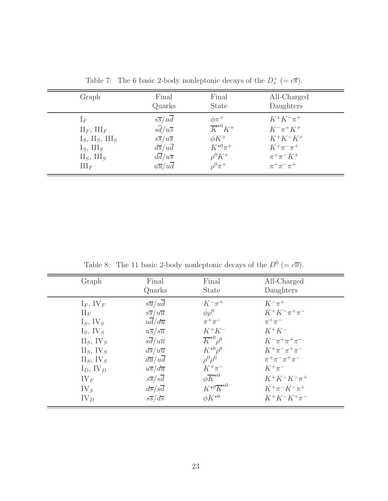| Graph                                                                                                                       | Final<br>Quarks                                                                                                                                                                                    | Final<br><b>State</b>                                                                                        | All-Charged<br>Daughters                                                                                                   |  |
|-----------------------------------------------------------------------------------------------------------------------------|----------------------------------------------------------------------------------------------------------------------------------------------------------------------------------------------------|--------------------------------------------------------------------------------------------------------------|----------------------------------------------------------------------------------------------------------------------------|--|
| $\Gamma_F$<br>$\prod_F, \prod_F$<br>$I_S$ , $II_S$ , $III_S$<br>$I_S$ , III <sub>S</sub><br>$II_S$ , $III_S$<br>$\coprod_F$ | $s\overline{s}/u\overline{d}$<br>$s\overline{d}/u\overline{s}$<br>$s\overline{s}/u\overline{s}$<br>$d\overline{s}/u\overline{d}$<br>$d\overline{d}/u\overline{s}$<br>$u\overline{u}/u\overline{d}$ | $\phi\pi^+$<br>$\overline{K}^{*0}K^+$<br>$\phi K^+$<br>$K^{\star 0} \pi^+$<br>$\rho^0 K^+$<br>$\rho^0 \pi^+$ | $K^+K^-\pi^+$<br>$K^{-}\pi^{+}K^{+}$<br>$K^+K^-K^+$<br>$K^+\pi^-\pi^+$<br>$\pi^{+}\pi^{-}K^{+}$<br>$\pi^{+}\pi^{-}\pi^{+}$ |  |

Table 7: The 6 basic 2-body nonleptonic decays of the  $D_s^+$  (=  $c\overline{s}$ ).

Table 8: The 11 basic 2-body nonleptonic decays of the  $D^0$  (=  $c\overline{u}$ ).

| Graph                    | Final<br>Quarks               | Final<br><b>State</b>             | All-Charged<br>Daughters       |
|--------------------------|-------------------------------|-----------------------------------|--------------------------------|
| $I_F$ , IV <sub>F</sub>  | $s\overline{u}/u\overline{d}$ | $K^{-}\pi^{+}$                    | $K^{-}\pi^{+}$                 |
| $\prod_F$                | $s\overline{s}/u\overline{u}$ | $\phi \rho^0$                     | $K^+K^-\pi^+\pi^-$             |
| $I_S$ , IV <sub>S</sub>  | $u\overline{d}/d\overline{u}$ | $\pi^+\pi^-$                      | $\pi^+\pi^-$                   |
| $I_S$ , IV <sub>S</sub>  | $u\overline{s}/s\overline{u}$ | $K^+K^-$                          | $K^+K^-$                       |
| $II_S$ , $IV_S$          | $s\overline{d}/u\overline{u}$ | $\overline{K}^{*0} \rho^0$        | $K^{-}\pi^{+}\pi^{+}\pi^{-}$   |
| $II_S$ , $IV_S$          | $d\overline{s}/u\overline{u}$ | $K^{\star 0} \rho^0$              | $K^+\pi^-\pi^+\pi^-$           |
| $II_S$ , IV <sub>S</sub> | $d\overline{u}/u\overline{d}$ | $\rho^0 \rho^0$                   | $\pi^{+}\pi^{-}\pi^{+}\pi^{-}$ |
| $I_D$ , IV <sub>D</sub>  | $u\overline{s}/d\overline{u}$ | $K^+\pi^-$                        | $K^+\pi^-$                     |
| $IV_F$                   | $s\overline{s}/s\overline{d}$ | $\phi \overline{K}^{*0}$          | $K^+K^-K^-\pi^+$               |
| $IV_{S}$                 | $d\overline{s}/s\overline{d}$ | $K^{\star0}\overline{K}^{\star0}$ | $K^+\pi^-K^-\pi^+$             |
| $IV_{D}$                 | $s\overline{s}/d\overline{s}$ | $\phi K^{\star 0}$                | $K^+K^-K^+\pi^-$               |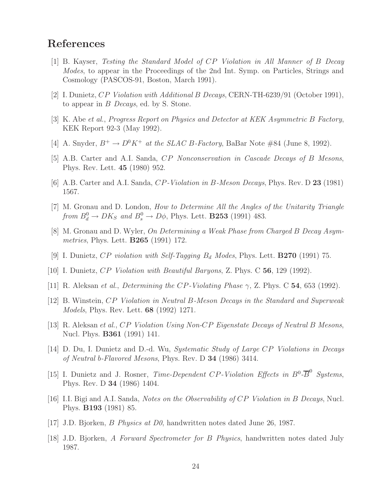### **References**

- [1] B. Kayser, Testing the Standard Model of CP Violation in All Manner of B Decay Modes, to appear in the Proceedings of the 2nd Int. Symp. on Particles, Strings and Cosmology (PASCOS-91, Boston, March 1991).
- [2] I. Dunietz, CP Violation with Additional B Decays, CERN-TH-6239/91 (October 1991), to appear in B Decays, ed. by S. Stone.
- [3] K. Abe et al., Progress Report on Physics and Detector at KEK Asymmetric B Factory, KEK Report 92-3 (May 1992).
- [4] A. Snyder,  $B^+ \to D^0 K^+$  at the SLAC B-Factory, BaBar Note #84 (June 8, 1992).
- [5] A.B. Carter and A.I. Sanda, CP Nonconservation in Cascade Decays of B Mesons, Phys. Rev. Lett. **45** (1980) 952.
- [6] A.B. Carter and A.I. Sanda, CP-Violation in B-Meson Decays, Phys. Rev. D **23** (1981) 1567.
- [7] M. Gronau and D. London, How to Determine All the Angles of the Unitarity Triangle from  $B_d^0 \to D K_S$  and  $B_s^0 \to D \phi$ , Phys. Lett. **B253** (1991) 483.
- [8] M. Gronau and D. Wyler, On Determining a Weak Phase from Charged B Decay Asymmetries, Phys. Lett. **B265** (1991) 172.
- [9] I. Dunietz,  $CP$  violation with Self-Tagging  $B_d$  Modes, Phys. Lett. **B270** (1991) 75.
- [10] I. Dunietz, CP Violation with Beautiful Baryons, Z. Phys. C **56**, 129 (1992).
- [11] R. Aleksan et al., Determining the CP-Violating Phase γ, Z. Phys. C **54**, 653 (1992).
- [12] B. Winstein, CP Violation in Neutral B-Meson Decays in the Standard and Superweak Models, Phys. Rev. Lett. **68** (1992) 1271.
- [13] R. Aleksan et al., CP Violation Using Non-CP Eigenstate Decays of Neutral B Mesons, Nucl. Phys. **B361** (1991) 141.
- [14] D. Du, I. Dunietz and D.-d. Wu, Systematic Study of Large CP Violations in Decays of Neutral b-Flavored Mesons, Phys. Rev. D **34** (1986) 3414.
- [15] I. Dunietz and J. Rosner, Time-Dependent CP-Violation Effects in  $B^0$ - $\overline{B}^0$  Systems, Phys. Rev. D **34** (1986) 1404.
- [16] I.I. Bigi and A.I. Sanda, Notes on the Observability of CP Violation in B Decays, Nucl. Phys. **B193** (1981) 85.
- [17] J.D. Bjorken, B Physics at D0, handwritten notes dated June 26, 1987.
- [18] J.D. Bjorken, A Forward Spectrometer for B Physics, handwritten notes dated July 1987.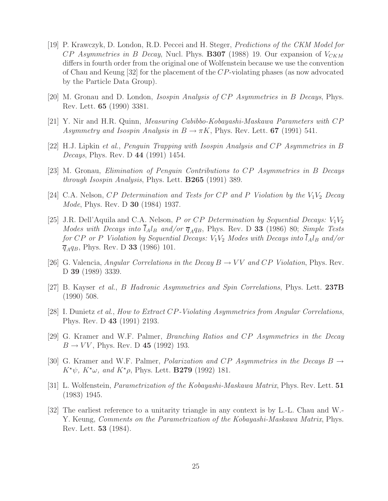- [19] P. Krawczyk, D. London, R.D. Peccei and H. Steger, Predictions of the CKM Model for  $CP$  Asymmetries in B Decay, Nucl. Phys. **B307** (1988) 19. Our expansion of  $V_{CKM}$ differs in fourth order from the original one of Wolfenstein because we use the convention of Chau and Keung [32] for the placement of the CP-violating phases (as now advocated by the Particle Data Group).
- [20] M. Gronau and D. London, Isospin Analysis of CP Asymmetries in B Decays, Phys. Rev. Lett. **65** (1990) 3381.
- [21] Y. Nir and H.R. Quinn, Measuring Cabibbo-Kobayashi-Maskawa Parameters with CP Asymmetry and Isospin Analysis in  $B \to \pi K$ , Phys. Rev. Lett. **67** (1991) 541.
- [22] H.J. Lipkin et al., Penguin Trapping with Isospin Analysis and CP Asymmetries in B Decays, Phys. Rev. D **44** (1991) 1454.
- [23] M. Gronau, Elimination of Penguin Contributions to CP Asymmetries in B Decays through Isospin Analysis, Phys. Lett. **B265** (1991) 389.
- [24] C.A. Nelson, CP Determination and Tests for CP and P Violation by the  $V_1V_2$  Decay Mode, Phys. Rev. D **30** (1984) 1937.
- [25] J.R. Dell'Aquila and C.A. Nelson, P or CP Determination by Sequential Decays:  $V_1V_2$ Modes with Decays into  $l_A l_B$  and/or  $\overline{q}_A q_B$ , Phys. Rev. D 33 (1986) 80; Simple Tests for CP or P Violation by Sequential Decays:  $V_1V_2$  Modes with Decays into  $\overline{l}_A l_B$  and/or  $\bar{q}_{A}q_{B}$ , Phys. Rev. D **33** (1986) 101.
- [26] G. Valencia, Angular Correlations in the Decay  $B \to VV$  and CP Violation, Phys. Rev. D **39** (1989) 3339.
- [27] B. Kayser et al., B Hadronic Asymmetries and Spin Correlations, Phys. Lett. **237B** (1990) 508.
- [28] I. Dunietz et al., How to Extract CP-Violating Asymmetries from Angular Correlations, Phys. Rev. D **43** (1991) 2193.
- [29] G. Kramer and W.F. Palmer, Branching Ratios and CP Asymmetries in the Decay  $B \to VV$ , Phys. Rev. D 45 (1992) 193.
- [30] G. Kramer and W.F. Palmer, *Polarization and CP Asymmetries in the Decays B*  $\rightarrow$  $K^{\star}\psi$ ,  $K^{\star}\omega$ , and  $K^{\star}\rho$ , Phys. Lett. **B279** (1992) 181.
- [31] L. Wolfenstein, Parametrization of the Kobayashi-Maskawa Matrix, Phys. Rev. Lett. **51** (1983) 1945.
- [32] The earliest reference to a unitarity triangle in any context is by L.-L. Chau and W.- Y. Keung, Comments on the Parametrization of the Kobayashi-Maskawa Matrix, Phys. Rev. Lett. **53** (1984).